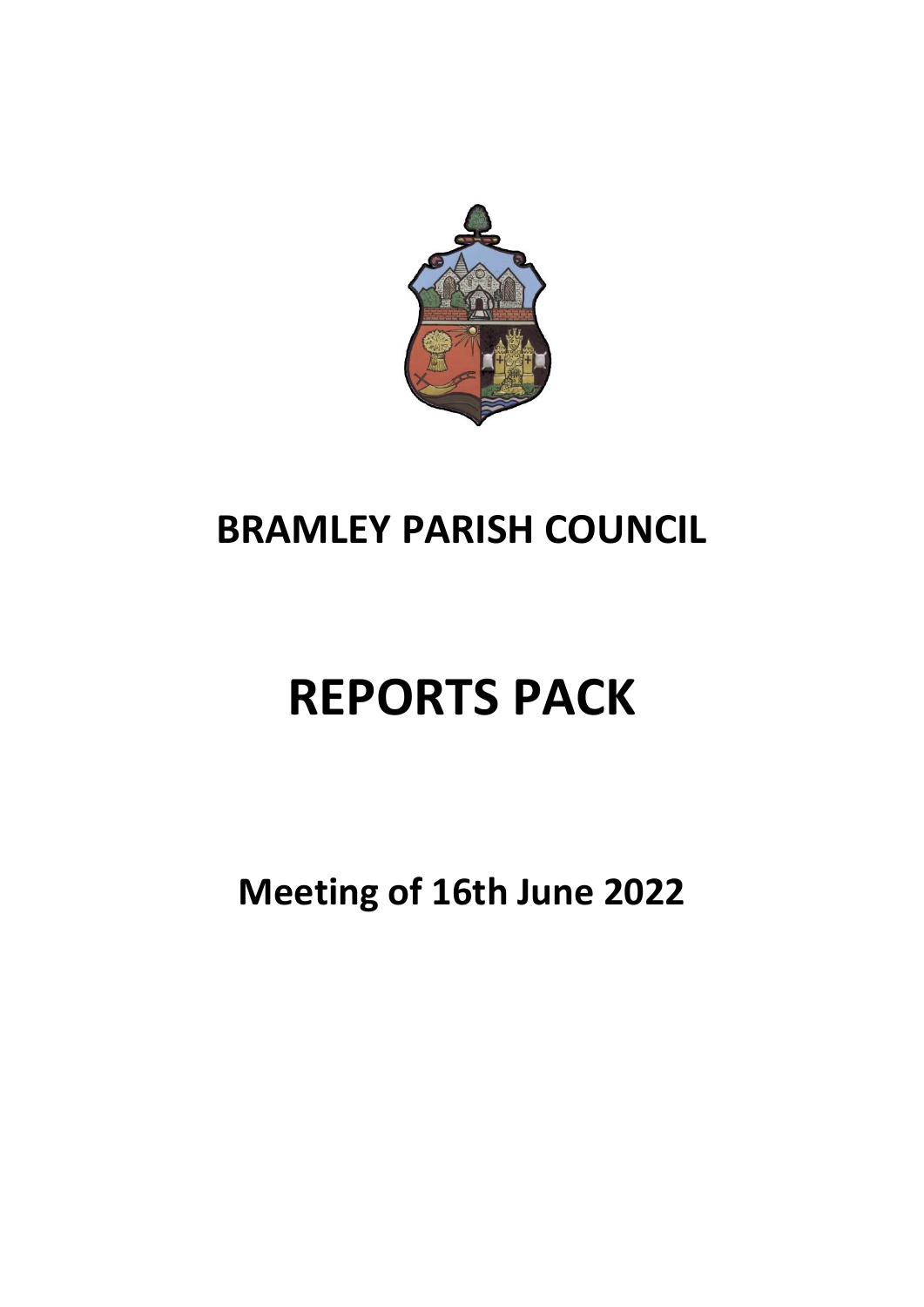

# **BRAMLEY PARISH COUNCIL**

# **REPORTS PACK**

# **Meeting of 16th June 2022**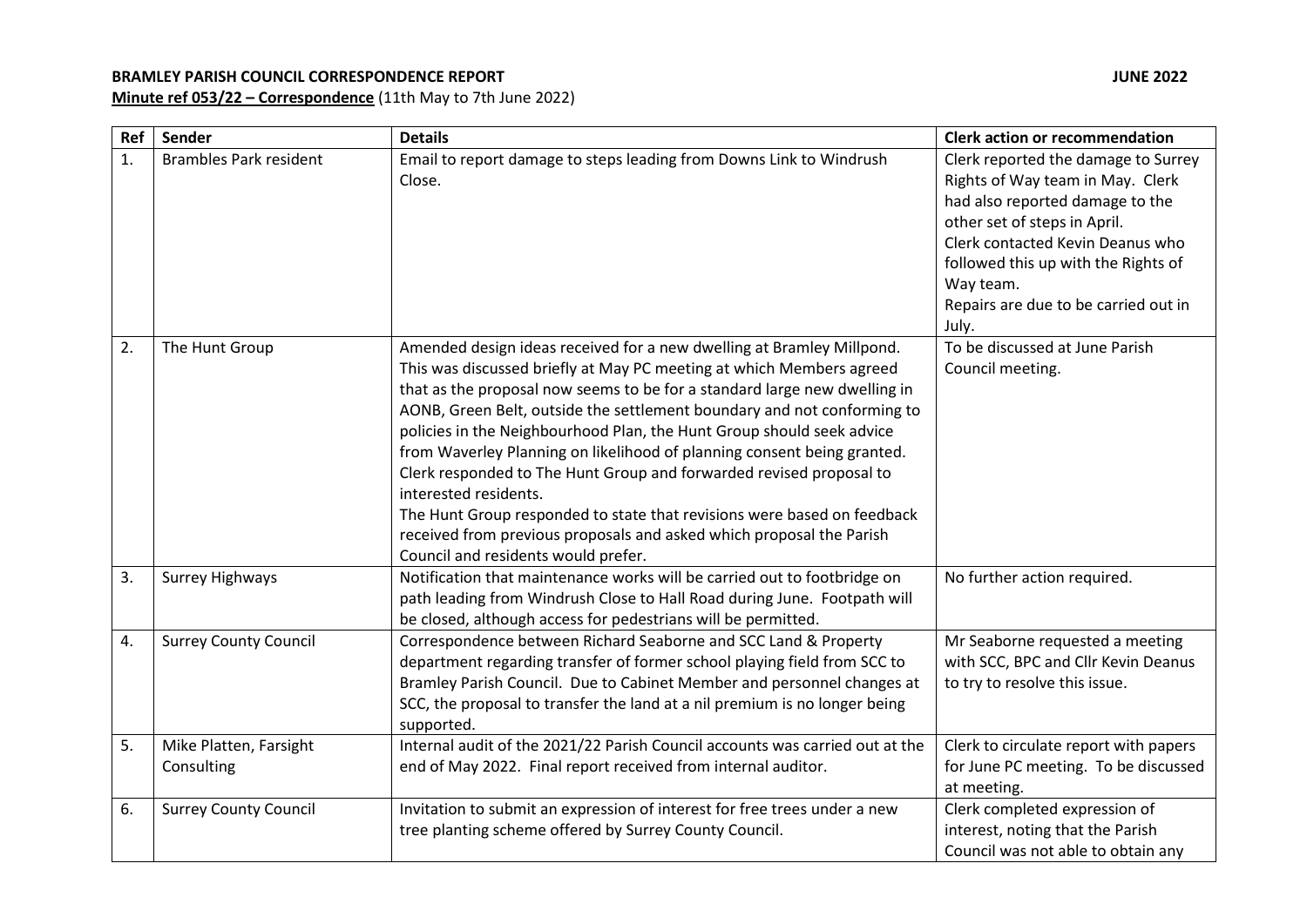#### **BRAMLEY PARISH COUNCIL CORRESPONDENCE REPORT JUNE 2022**

**Minute ref 053/22 – Correspondence** (11th May to 7th June 2022)

| Ref | Sender                               | <b>Details</b>                                                                                                                                                                                                                                                                                                                                                                                                                                                                                                                                                                                                                                                                                                                                      | <b>Clerk action or recommendation</b>                                                                                                                                                                                                                                               |
|-----|--------------------------------------|-----------------------------------------------------------------------------------------------------------------------------------------------------------------------------------------------------------------------------------------------------------------------------------------------------------------------------------------------------------------------------------------------------------------------------------------------------------------------------------------------------------------------------------------------------------------------------------------------------------------------------------------------------------------------------------------------------------------------------------------------------|-------------------------------------------------------------------------------------------------------------------------------------------------------------------------------------------------------------------------------------------------------------------------------------|
| 1.  | <b>Brambles Park resident</b>        | Email to report damage to steps leading from Downs Link to Windrush<br>Close.                                                                                                                                                                                                                                                                                                                                                                                                                                                                                                                                                                                                                                                                       | Clerk reported the damage to Surrey<br>Rights of Way team in May. Clerk<br>had also reported damage to the<br>other set of steps in April.<br>Clerk contacted Kevin Deanus who<br>followed this up with the Rights of<br>Way team.<br>Repairs are due to be carried out in<br>July. |
| 2.  | The Hunt Group                       | Amended design ideas received for a new dwelling at Bramley Millpond.<br>This was discussed briefly at May PC meeting at which Members agreed<br>that as the proposal now seems to be for a standard large new dwelling in<br>AONB, Green Belt, outside the settlement boundary and not conforming to<br>policies in the Neighbourhood Plan, the Hunt Group should seek advice<br>from Waverley Planning on likelihood of planning consent being granted.<br>Clerk responded to The Hunt Group and forwarded revised proposal to<br>interested residents.<br>The Hunt Group responded to state that revisions were based on feedback<br>received from previous proposals and asked which proposal the Parish<br>Council and residents would prefer. | To be discussed at June Parish<br>Council meeting.                                                                                                                                                                                                                                  |
| 3.  | <b>Surrey Highways</b>               | Notification that maintenance works will be carried out to footbridge on<br>path leading from Windrush Close to Hall Road during June. Footpath will<br>be closed, although access for pedestrians will be permitted.                                                                                                                                                                                                                                                                                                                                                                                                                                                                                                                               | No further action required.                                                                                                                                                                                                                                                         |
| 4.  | <b>Surrey County Council</b>         | Correspondence between Richard Seaborne and SCC Land & Property<br>department regarding transfer of former school playing field from SCC to<br>Bramley Parish Council. Due to Cabinet Member and personnel changes at<br>SCC, the proposal to transfer the land at a nil premium is no longer being<br>supported.                                                                                                                                                                                                                                                                                                                                                                                                                                   | Mr Seaborne requested a meeting<br>with SCC, BPC and Cllr Kevin Deanus<br>to try to resolve this issue.                                                                                                                                                                             |
| 5.  | Mike Platten, Farsight<br>Consulting | Internal audit of the 2021/22 Parish Council accounts was carried out at the<br>end of May 2022. Final report received from internal auditor.                                                                                                                                                                                                                                                                                                                                                                                                                                                                                                                                                                                                       | Clerk to circulate report with papers<br>for June PC meeting. To be discussed<br>at meeting.                                                                                                                                                                                        |
| 6.  | <b>Surrey County Council</b>         | Invitation to submit an expression of interest for free trees under a new<br>tree planting scheme offered by Surrey County Council.                                                                                                                                                                                                                                                                                                                                                                                                                                                                                                                                                                                                                 | Clerk completed expression of<br>interest, noting that the Parish<br>Council was not able to obtain any                                                                                                                                                                             |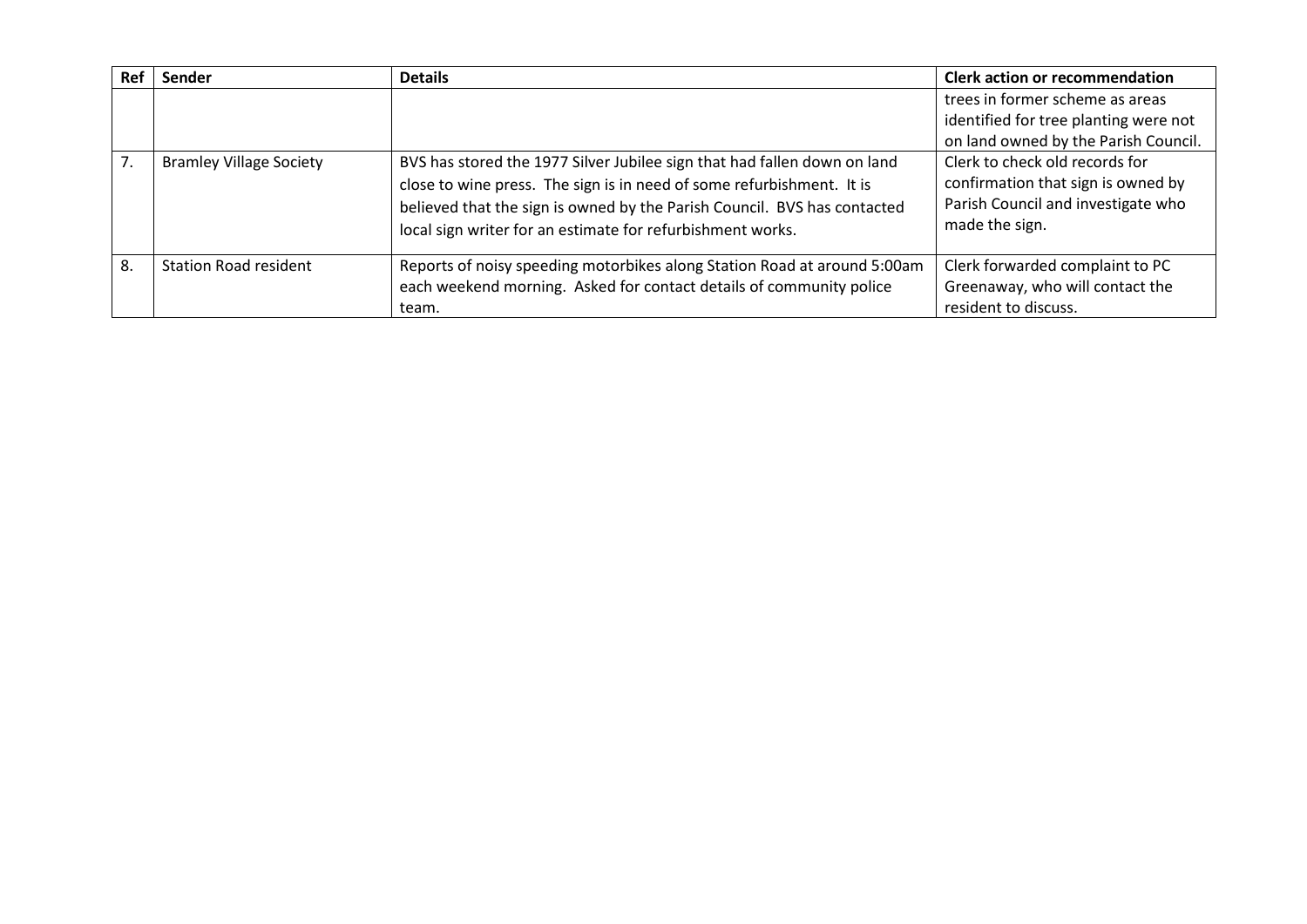| Ref            | Sender                         | <b>Details</b>                                                                                                                                                                                                                                                                              | <b>Clerk action or recommendation</b>                                                                                        |
|----------------|--------------------------------|---------------------------------------------------------------------------------------------------------------------------------------------------------------------------------------------------------------------------------------------------------------------------------------------|------------------------------------------------------------------------------------------------------------------------------|
|                |                                |                                                                                                                                                                                                                                                                                             | trees in former scheme as areas                                                                                              |
|                |                                |                                                                                                                                                                                                                                                                                             | identified for tree planting were not                                                                                        |
|                |                                |                                                                                                                                                                                                                                                                                             | on land owned by the Parish Council.                                                                                         |
| 7 <sub>1</sub> | <b>Bramley Village Society</b> | BVS has stored the 1977 Silver Jubilee sign that had fallen down on land<br>close to wine press. The sign is in need of some refurbishment. It is<br>believed that the sign is owned by the Parish Council. BVS has contacted<br>local sign writer for an estimate for refurbishment works. | Clerk to check old records for<br>confirmation that sign is owned by<br>Parish Council and investigate who<br>made the sign. |
| 8.             | <b>Station Road resident</b>   | Reports of noisy speeding motorbikes along Station Road at around 5:00am<br>each weekend morning. Asked for contact details of community police<br>team.                                                                                                                                    | Clerk forwarded complaint to PC<br>Greenaway, who will contact the<br>resident to discuss.                                   |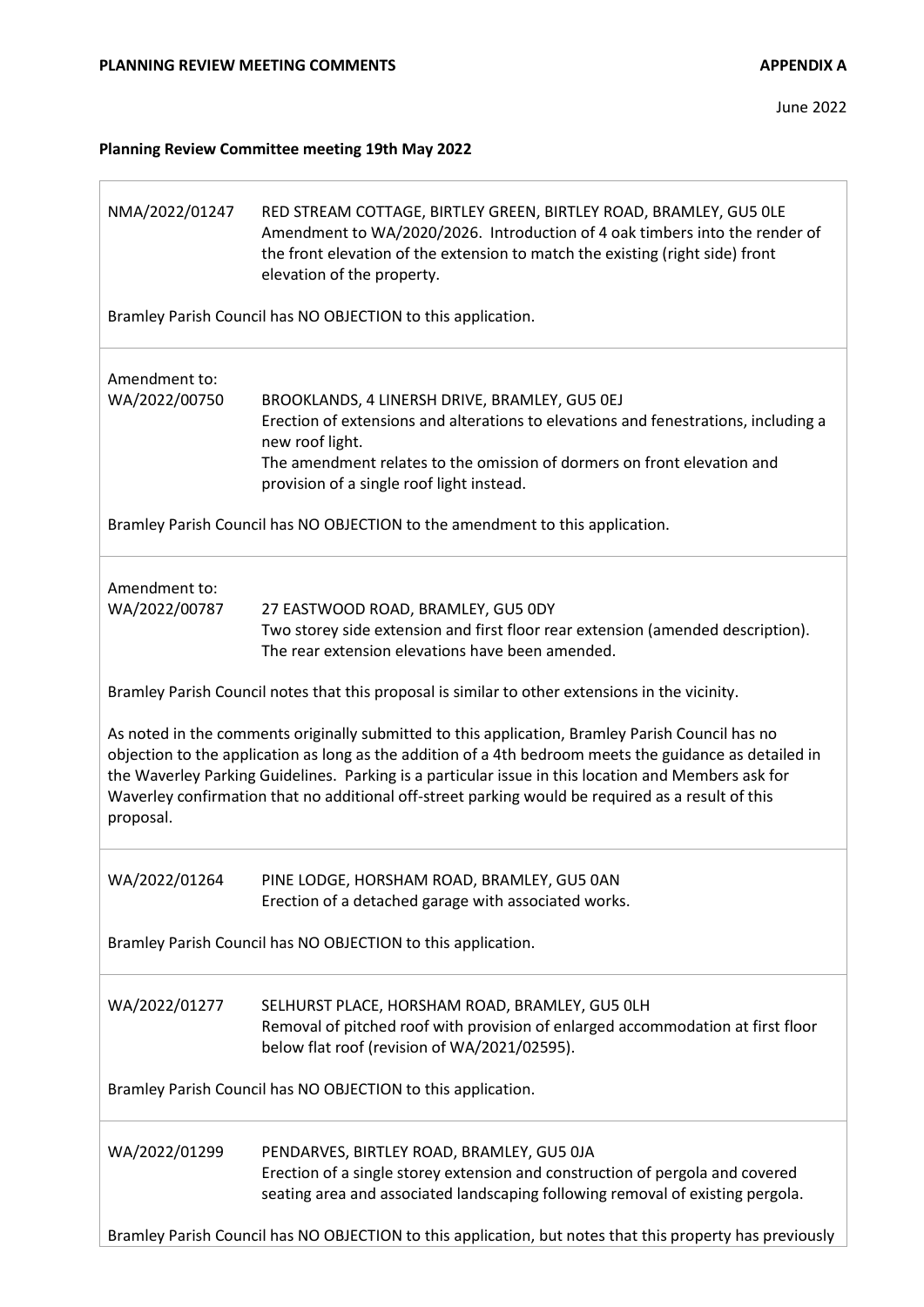#### **Planning Review Committee meeting 19th May 2022**

| NMA/2022/01247                                                                                                                                                                                                                                                                                                                                                                                                                       | RED STREAM COTTAGE, BIRTLEY GREEN, BIRTLEY ROAD, BRAMLEY, GU5 OLE<br>Amendment to WA/2020/2026. Introduction of 4 oak timbers into the render of<br>the front elevation of the extension to match the existing (right side) front<br>elevation of the property. |  |  |
|--------------------------------------------------------------------------------------------------------------------------------------------------------------------------------------------------------------------------------------------------------------------------------------------------------------------------------------------------------------------------------------------------------------------------------------|-----------------------------------------------------------------------------------------------------------------------------------------------------------------------------------------------------------------------------------------------------------------|--|--|
|                                                                                                                                                                                                                                                                                                                                                                                                                                      | Bramley Parish Council has NO OBJECTION to this application.                                                                                                                                                                                                    |  |  |
| Amendment to:<br>WA/2022/00750                                                                                                                                                                                                                                                                                                                                                                                                       | BROOKLANDS, 4 LINERSH DRIVE, BRAMLEY, GU5 OEJ<br>Erection of extensions and alterations to elevations and fenestrations, including a<br>new roof light.                                                                                                         |  |  |
|                                                                                                                                                                                                                                                                                                                                                                                                                                      | The amendment relates to the omission of dormers on front elevation and<br>provision of a single roof light instead.                                                                                                                                            |  |  |
|                                                                                                                                                                                                                                                                                                                                                                                                                                      | Bramley Parish Council has NO OBJECTION to the amendment to this application.                                                                                                                                                                                   |  |  |
| Amendment to:<br>WA/2022/00787<br>27 EASTWOOD ROAD, BRAMLEY, GU5 0DY<br>Two storey side extension and first floor rear extension (amended description).<br>The rear extension elevations have been amended.                                                                                                                                                                                                                          |                                                                                                                                                                                                                                                                 |  |  |
|                                                                                                                                                                                                                                                                                                                                                                                                                                      | Bramley Parish Council notes that this proposal is similar to other extensions in the vicinity.                                                                                                                                                                 |  |  |
| As noted in the comments originally submitted to this application, Bramley Parish Council has no<br>objection to the application as long as the addition of a 4th bedroom meets the guidance as detailed in<br>the Waverley Parking Guidelines. Parking is a particular issue in this location and Members ask for<br>Waverley confirmation that no additional off-street parking would be required as a result of this<br>proposal. |                                                                                                                                                                                                                                                                 |  |  |
| WA/2022/01264                                                                                                                                                                                                                                                                                                                                                                                                                        | PINE LODGE, HORSHAM ROAD, BRAMLEY, GU5 0AN<br>Erection of a detached garage with associated works.                                                                                                                                                              |  |  |
| Bramley Parish Council has NO OBJECTION to this application.                                                                                                                                                                                                                                                                                                                                                                         |                                                                                                                                                                                                                                                                 |  |  |
| WA/2022/01277                                                                                                                                                                                                                                                                                                                                                                                                                        | SELHURST PLACE, HORSHAM ROAD, BRAMLEY, GU5 OLH<br>Removal of pitched roof with provision of enlarged accommodation at first floor<br>below flat roof (revision of WA/2021/02595).                                                                               |  |  |
|                                                                                                                                                                                                                                                                                                                                                                                                                                      | Bramley Parish Council has NO OBJECTION to this application.                                                                                                                                                                                                    |  |  |
| WA/2022/01299                                                                                                                                                                                                                                                                                                                                                                                                                        | PENDARVES, BIRTLEY ROAD, BRAMLEY, GU5 0JA<br>Erection of a single storey extension and construction of pergola and covered<br>seating area and associated landscaping following removal of existing pergola.                                                    |  |  |
|                                                                                                                                                                                                                                                                                                                                                                                                                                      | Bramley Parish Council has NO OBJECTION to this application, but notes that this property has previously                                                                                                                                                        |  |  |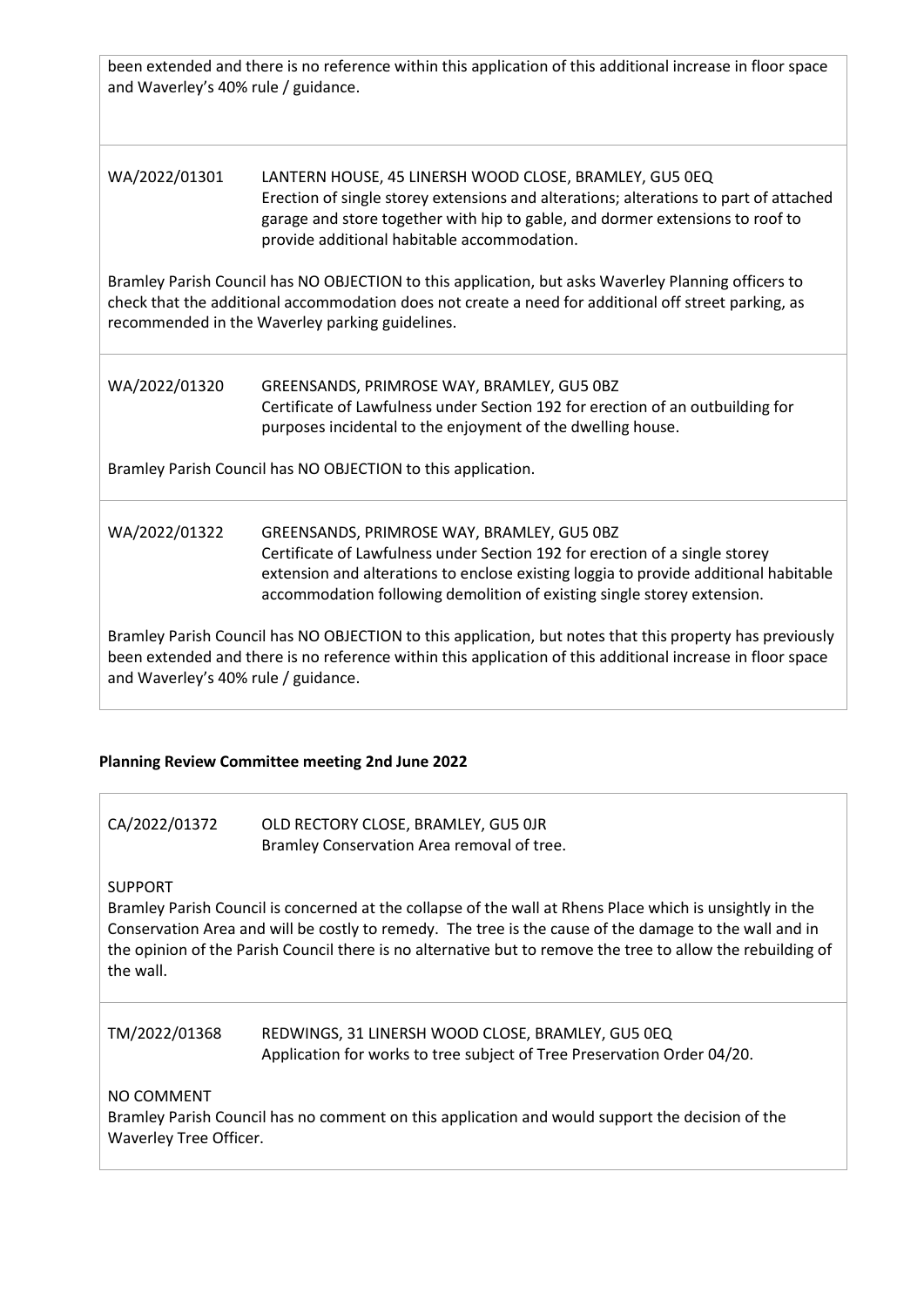been extended and there is no reference within this application of this additional increase in floor space and Waverley's 40% rule / guidance. WA/2022/01301 LANTERN HOUSE, 45 LINERSH WOOD CLOSE, BRAMLEY, GU5 0EQ Erection of single storey extensions and alterations; alterations to part of attached garage and store together with hip to gable, and dormer extensions to roof to provide additional habitable accommodation. Bramley Parish Council has NO OBJECTION to this application, but asks Waverley Planning officers to check that the additional accommodation does not create a need for additional off street parking, as recommended in the Waverley parking guidelines. WA/2022/01320 GREENSANDS, PRIMROSE WAY, BRAMLEY, GU5 0BZ Certificate of Lawfulness under Section 192 for erection of an outbuilding for purposes incidental to the enjoyment of the dwelling house. Bramley Parish Council has NO OBJECTION to this application. WA/2022/01322 GREENSANDS, PRIMROSE WAY, BRAMLEY, GU5 0BZ Certificate of Lawfulness under Section 192 for erection of a single storey extension and alterations to enclose existing loggia to provide additional habitable accommodation following demolition of existing single storey extension. Bramley Parish Council has NO OBJECTION to this application, but notes that this property has previously been extended and there is no reference within this application of this additional increase in floor space and Waverley's 40% rule / guidance.

#### **Planning Review Committee meeting 2nd June 2022**

CA/2022/01372 OLD RECTORY CLOSE, BRAMLEY, GU5 0JR Bramley Conservation Area removal of tree.

#### SUPPORT

Bramley Parish Council is concerned at the collapse of the wall at Rhens Place which is unsightly in the Conservation Area and will be costly to remedy. The tree is the cause of the damage to the wall and in the opinion of the Parish Council there is no alternative but to remove the tree to allow the rebuilding of the wall.

TM/2022/01368 REDWINGS, 31 LINERSH WOOD CLOSE, BRAMLEY, GU5 0EQ Application for works to tree subject of Tree Preservation Order 04/20.

#### NO COMMENT

Bramley Parish Council has no comment on this application and would support the decision of the Waverley Tree Officer.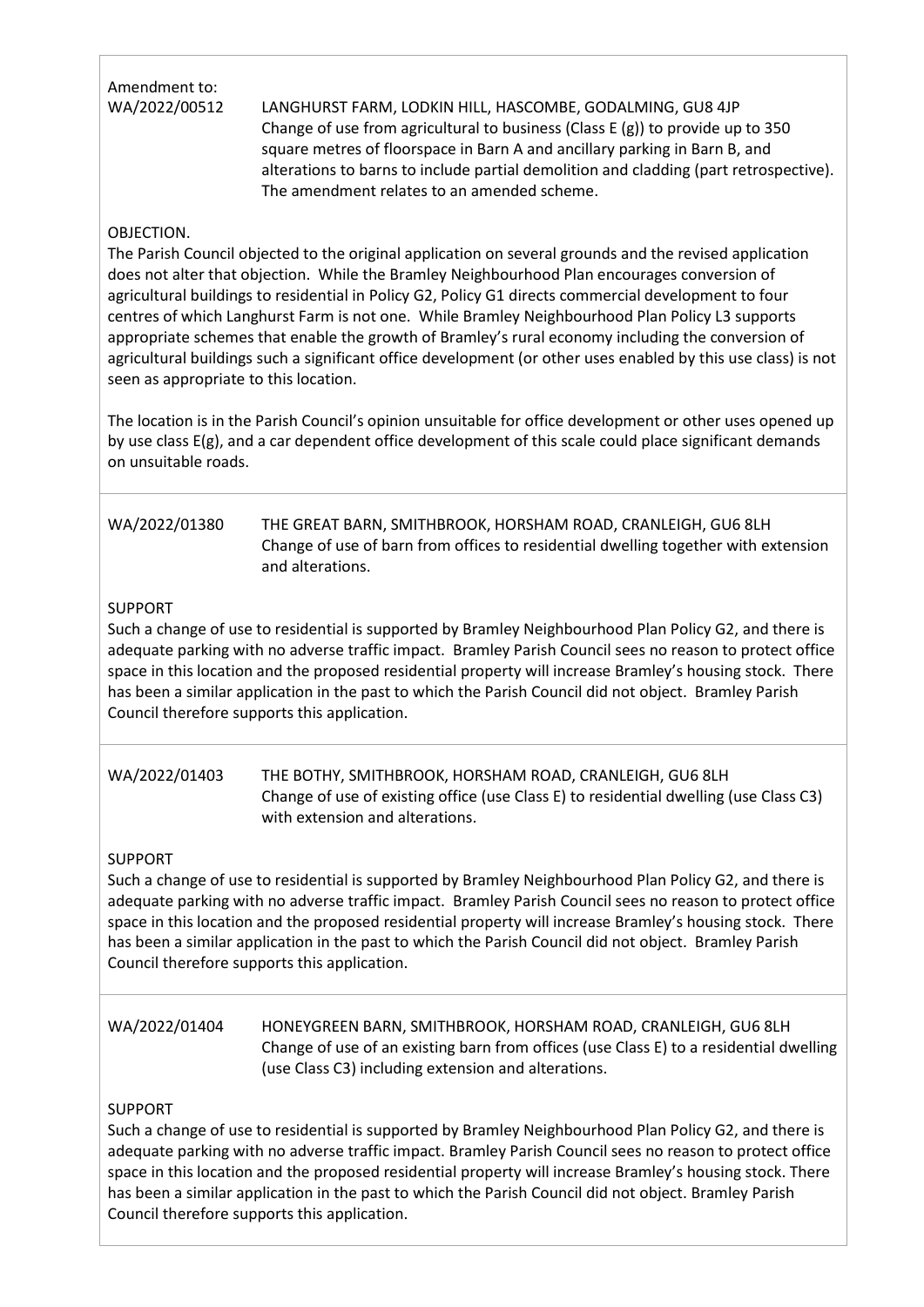# Amendment to:

WA/2022/00512 LANGHURST FARM, LODKIN HILL, HASCOMBE, GODALMING, GU8 4JP Change of use from agricultural to business (Class E (g)) to provide up to 350 square metres of floorspace in Barn A and ancillary parking in Barn B, and alterations to barns to include partial demolition and cladding (part retrospective). The amendment relates to an amended scheme.

#### OBJECTION.

The Parish Council objected to the original application on several grounds and the revised application does not alter that objection. While the Bramley Neighbourhood Plan encourages conversion of agricultural buildings to residential in Policy G2, Policy G1 directs commercial development to four centres of which Langhurst Farm is not one. While Bramley Neighbourhood Plan Policy L3 supports appropriate schemes that enable the growth of Bramley's rural economy including the conversion of agricultural buildings such a significant office development (or other uses enabled by this use class) is not seen as appropriate to this location.

The location is in the Parish Council's opinion unsuitable for office development or other uses opened up by use class E(g), and a car dependent office development of this scale could place significant demands on unsuitable roads.

#### WA/2022/01380 THE GREAT BARN, SMITHBROOK, HORSHAM ROAD, CRANLEIGH, GU6 8LH Change of use of barn from offices to residential dwelling together with extension and alterations.

#### SUPPORT

Such a change of use to residential is supported by Bramley Neighbourhood Plan Policy G2, and there is adequate parking with no adverse traffic impact. Bramley Parish Council sees no reason to protect office space in this location and the proposed residential property will increase Bramley's housing stock. There has been a similar application in the past to which the Parish Council did not object. Bramley Parish Council therefore supports this application.

| WA/2022/01403 | THE BOTHY, SMITHBROOK, HORSHAM ROAD, CRANLEIGH, GU6 8LH                               |
|---------------|---------------------------------------------------------------------------------------|
|               | Change of use of existing office (use Class E) to residential dwelling (use Class C3) |
|               | with extension and alterations.                                                       |

#### SUPPORT

Such a change of use to residential is supported by Bramley Neighbourhood Plan Policy G2, and there is adequate parking with no adverse traffic impact. Bramley Parish Council sees no reason to protect office space in this location and the proposed residential property will increase Bramley's housing stock. There has been a similar application in the past to which the Parish Council did not object. Bramley Parish Council therefore supports this application.

| WA/2022/01404 | HONEYGREEN BARN, SMITHBROOK, HORSHAM ROAD, CRANLEIGH, GU6 8LH                          |
|---------------|----------------------------------------------------------------------------------------|
|               | Change of use of an existing barn from offices (use Class E) to a residential dwelling |
|               | (use Class C3) including extension and alterations.                                    |

#### SUPPORT

Such a change of use to residential is supported by Bramley Neighbourhood Plan Policy G2, and there is adequate parking with no adverse traffic impact. Bramley Parish Council sees no reason to protect office space in this location and the proposed residential property will increase Bramley's housing stock. There has been a similar application in the past to which the Parish Council did not object. Bramley Parish Council therefore supports this application.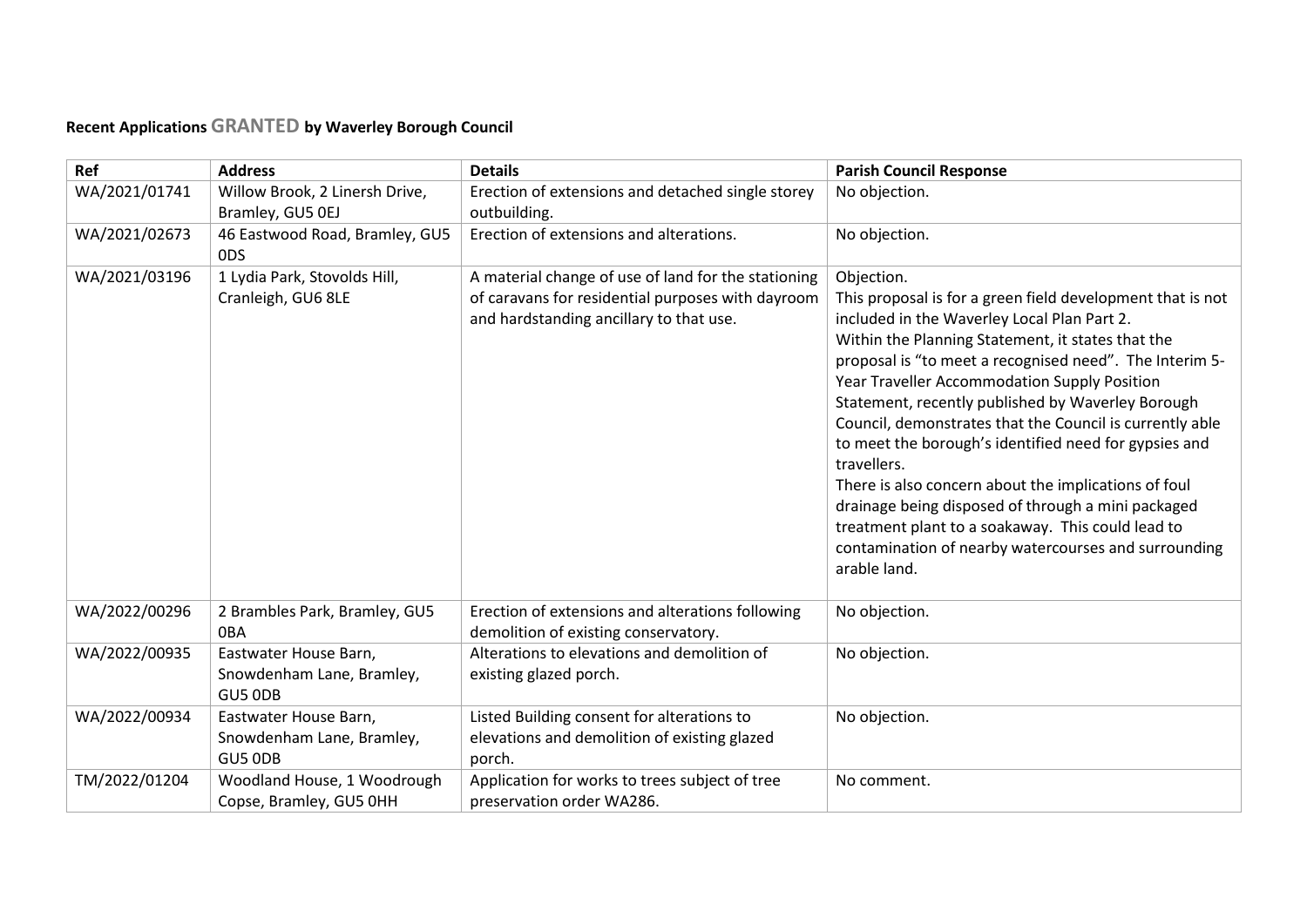## **Recent Applications GRANTED by Waverley Borough Council**

| <b>Ref</b>    | <b>Address</b>                                                | <b>Details</b>                                                                                                                                      | <b>Parish Council Response</b>                                                                                                                                                                                                                                                                                                                                                                                                                                                                                                                                                                                                                                                                                              |
|---------------|---------------------------------------------------------------|-----------------------------------------------------------------------------------------------------------------------------------------------------|-----------------------------------------------------------------------------------------------------------------------------------------------------------------------------------------------------------------------------------------------------------------------------------------------------------------------------------------------------------------------------------------------------------------------------------------------------------------------------------------------------------------------------------------------------------------------------------------------------------------------------------------------------------------------------------------------------------------------------|
| WA/2021/01741 | Willow Brook, 2 Linersh Drive,                                | Erection of extensions and detached single storey                                                                                                   | No objection.                                                                                                                                                                                                                                                                                                                                                                                                                                                                                                                                                                                                                                                                                                               |
|               | Bramley, GU5 OEJ                                              | outbuilding.                                                                                                                                        |                                                                                                                                                                                                                                                                                                                                                                                                                                                                                                                                                                                                                                                                                                                             |
| WA/2021/02673 | 46 Eastwood Road, Bramley, GU5<br>0 <sub>D</sub> S            | Erection of extensions and alterations.                                                                                                             | No objection.                                                                                                                                                                                                                                                                                                                                                                                                                                                                                                                                                                                                                                                                                                               |
| WA/2021/03196 | 1 Lydia Park, Stovolds Hill,<br>Cranleigh, GU6 8LE            | A material change of use of land for the stationing<br>of caravans for residential purposes with dayroom<br>and hardstanding ancillary to that use. | Objection.<br>This proposal is for a green field development that is not<br>included in the Waverley Local Plan Part 2.<br>Within the Planning Statement, it states that the<br>proposal is "to meet a recognised need". The Interim 5-<br>Year Traveller Accommodation Supply Position<br>Statement, recently published by Waverley Borough<br>Council, demonstrates that the Council is currently able<br>to meet the borough's identified need for gypsies and<br>travellers.<br>There is also concern about the implications of foul<br>drainage being disposed of through a mini packaged<br>treatment plant to a soakaway. This could lead to<br>contamination of nearby watercourses and surrounding<br>arable land. |
| WA/2022/00296 | 2 Brambles Park, Bramley, GU5<br>0BA                          | Erection of extensions and alterations following<br>demolition of existing conservatory.                                                            | No objection.                                                                                                                                                                                                                                                                                                                                                                                                                                                                                                                                                                                                                                                                                                               |
| WA/2022/00935 | Eastwater House Barn,<br>Snowdenham Lane, Bramley,<br>GU5 ODB | Alterations to elevations and demolition of<br>existing glazed porch.                                                                               | No objection.                                                                                                                                                                                                                                                                                                                                                                                                                                                                                                                                                                                                                                                                                                               |
| WA/2022/00934 | Eastwater House Barn,<br>Snowdenham Lane, Bramley,<br>GU5 ODB | Listed Building consent for alterations to<br>elevations and demolition of existing glazed<br>porch.                                                | No objection.                                                                                                                                                                                                                                                                                                                                                                                                                                                                                                                                                                                                                                                                                                               |
| TM/2022/01204 | Woodland House, 1 Woodrough<br>Copse, Bramley, GU5 0HH        | Application for works to trees subject of tree<br>preservation order WA286.                                                                         | No comment.                                                                                                                                                                                                                                                                                                                                                                                                                                                                                                                                                                                                                                                                                                                 |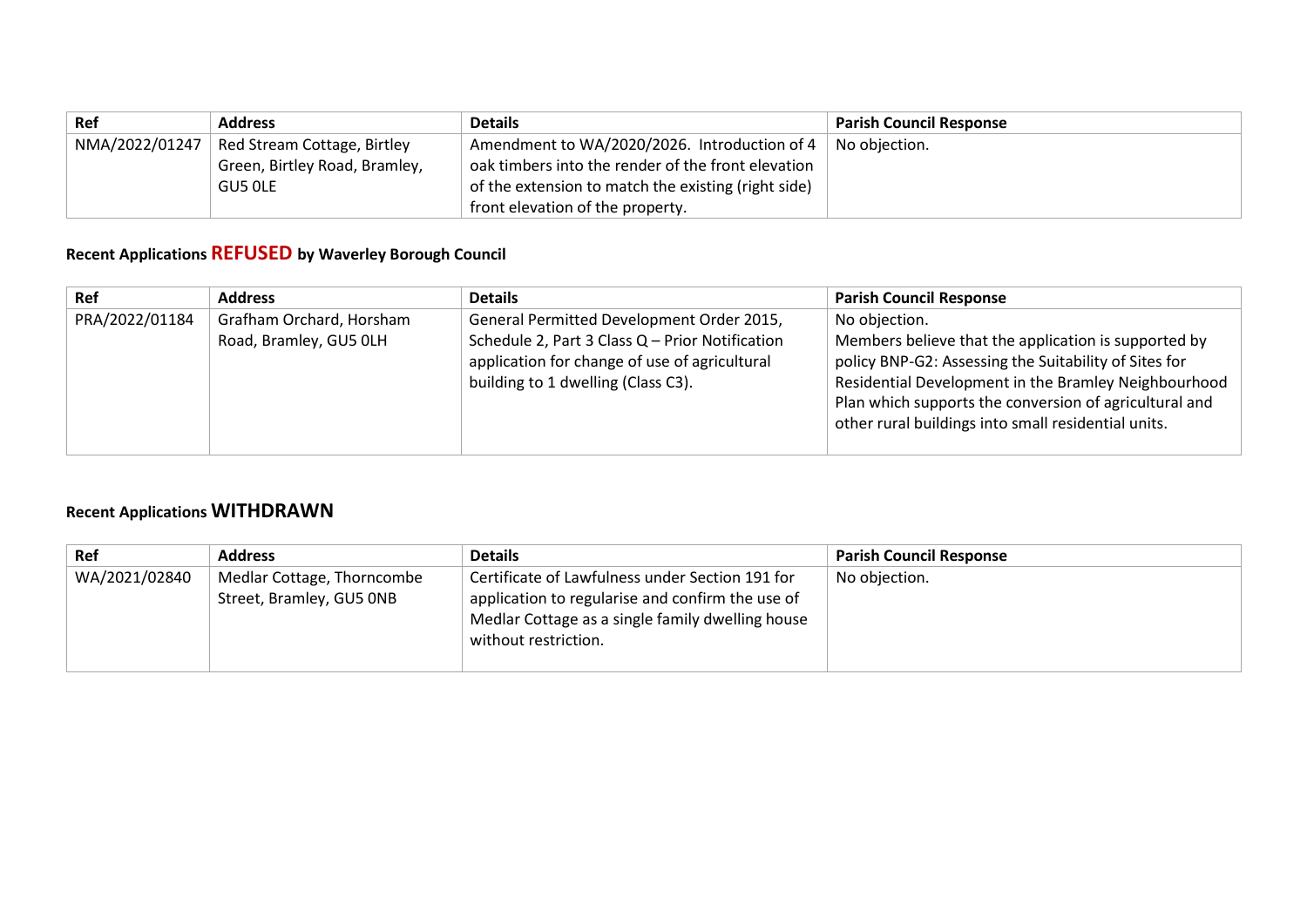| Ref            | <b>Address</b>                | <b>Details</b>                                      | <b>Parish Council Response</b> |
|----------------|-------------------------------|-----------------------------------------------------|--------------------------------|
| NMA/2022/01247 | Red Stream Cottage, Birtley   | Amendment to WA/2020/2026. Introduction of 4        | No objection.                  |
|                | Green, Birtley Road, Bramley, | oak timbers into the render of the front elevation  |                                |
|                | GU5 OLE                       | of the extension to match the existing (right side) |                                |
|                |                               | front elevation of the property.                    |                                |

## **Recent Applications REFUSED by Waverley Borough Council**

| <b>Ref</b>     | <b>Address</b>                                     | <b>Details</b>                                                                                                                                                                      | <b>Parish Council Response</b>                                                                                                                                                                                                                                                                          |
|----------------|----------------------------------------------------|-------------------------------------------------------------------------------------------------------------------------------------------------------------------------------------|---------------------------------------------------------------------------------------------------------------------------------------------------------------------------------------------------------------------------------------------------------------------------------------------------------|
| PRA/2022/01184 | Grafham Orchard, Horsham<br>Road, Bramley, GU5 0LH | General Permitted Development Order 2015,<br>Schedule 2, Part 3 Class Q - Prior Notification<br>application for change of use of agricultural<br>building to 1 dwelling (Class C3). | No objection.<br>Members believe that the application is supported by<br>policy BNP-G2: Assessing the Suitability of Sites for<br>Residential Development in the Bramley Neighbourhood<br>Plan which supports the conversion of agricultural and<br>other rural buildings into small residential units. |
|                |                                                    |                                                                                                                                                                                     |                                                                                                                                                                                                                                                                                                         |

#### **Recent Applications WITHDRAWN**

| Ref           | <b>Address</b>                                         | <b>Details</b>                                                                                                                                                                  | <b>Parish Council Response</b> |
|---------------|--------------------------------------------------------|---------------------------------------------------------------------------------------------------------------------------------------------------------------------------------|--------------------------------|
| WA/2021/02840 | Medlar Cottage, Thorncombe<br>Street, Bramley, GU5 ONB | Certificate of Lawfulness under Section 191 for<br>application to regularise and confirm the use of<br>Medlar Cottage as a single family dwelling house<br>without restriction. | No objection.                  |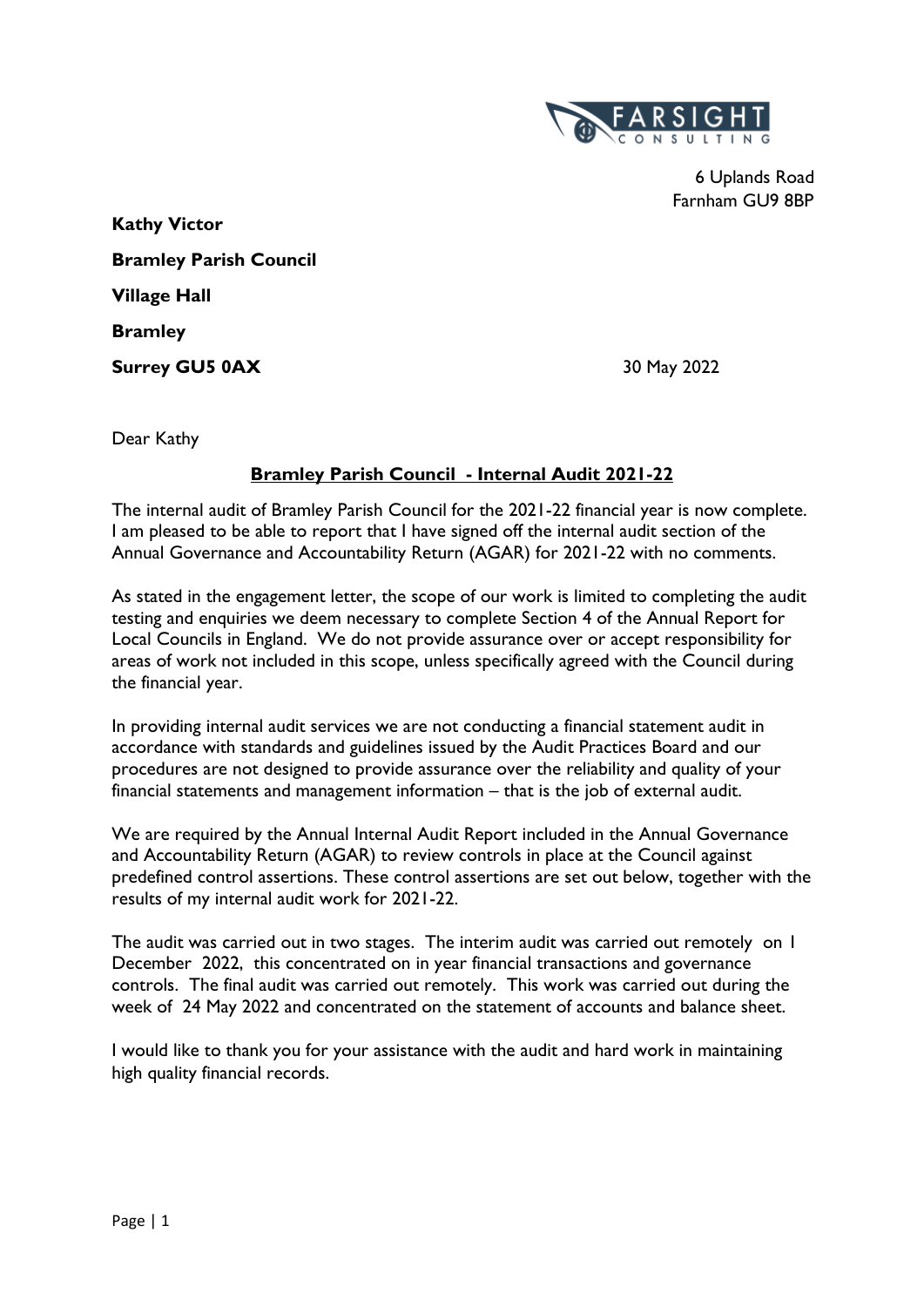

6 Uplands Road Farnham GU9 8BP

**Kathy Victor Bramley Parish Council Village Hall Bramley Surrey GU5 0AX** 30 May 2022

Dear Kathy

#### **Bramley Parish Council - Internal Audit 2021-22**

The internal audit of Bramley Parish Council for the 2021-22 financial year is now complete. I am pleased to be able to report that I have signed off the internal audit section of the Annual Governance and Accountability Return (AGAR) for 2021-22 with no comments.

As stated in the engagement letter, the scope of our work is limited to completing the audit testing and enquiries we deem necessary to complete Section 4 of the Annual Report for Local Councils in England. We do not provide assurance over or accept responsibility for areas of work not included in this scope, unless specifically agreed with the Council during the financial year.

In providing internal audit services we are not conducting a financial statement audit in accordance with standards and guidelines issued by the Audit Practices Board and our procedures are not designed to provide assurance over the reliability and quality of your financial statements and management information – that is the job of external audit.

We are required by the Annual Internal Audit Report included in the Annual Governance and Accountability Return (AGAR) to review controls in place at the Council against predefined control assertions. These control assertions are set out below, together with the results of my internal audit work for 2021-22.

The audit was carried out in two stages. The interim audit was carried out remotely on 1 December 2022, this concentrated on in year financial transactions and governance controls. The final audit was carried out remotely. This work was carried out during the week of 24 May 2022 and concentrated on the statement of accounts and balance sheet.

I would like to thank you for your assistance with the audit and hard work in maintaining high quality financial records.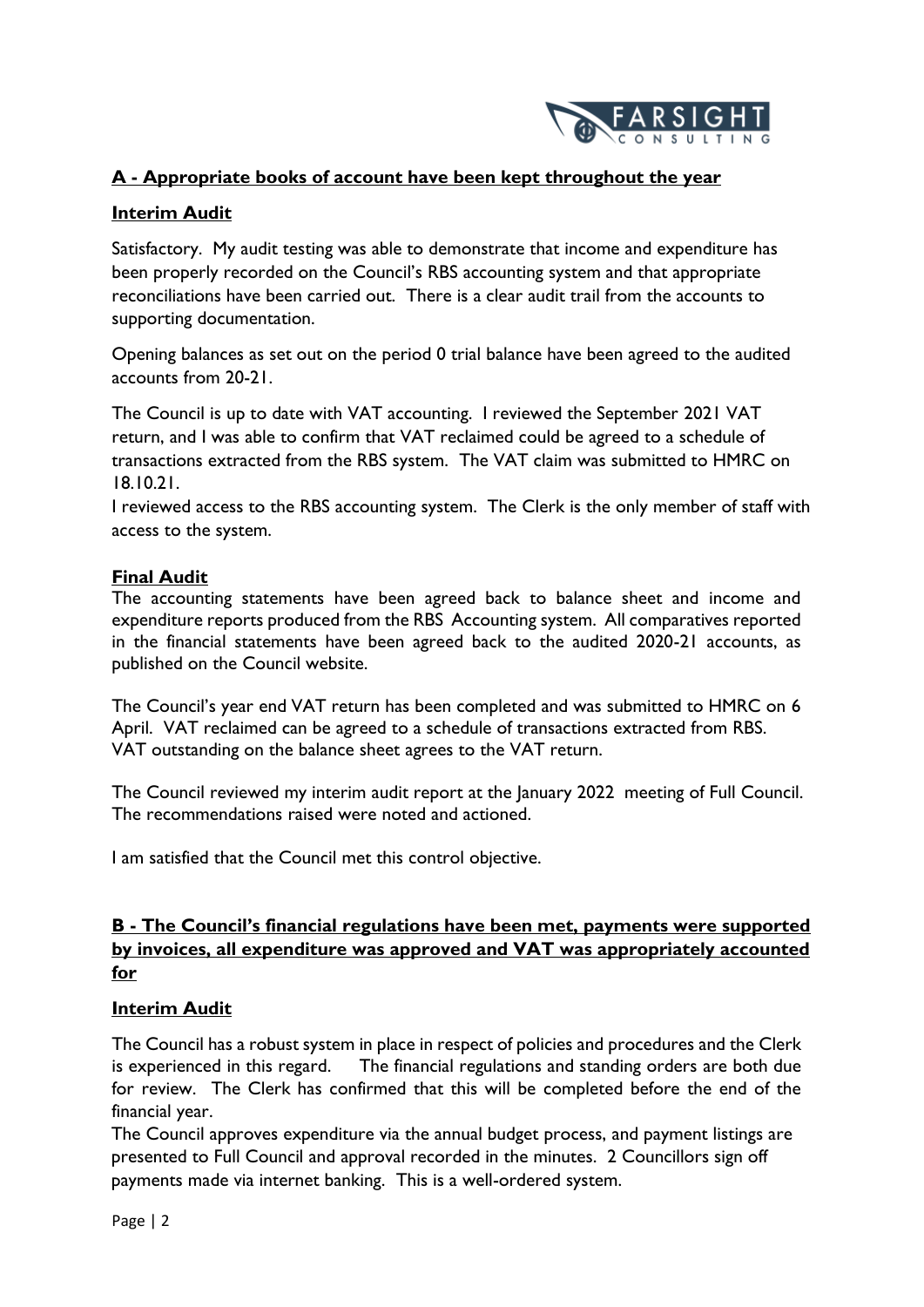

#### **A - Appropriate books of account have been kept throughout the year**

#### **Interim Audit**

Satisfactory. My audit testing was able to demonstrate that income and expenditure has been properly recorded on the Council's RBS accounting system and that appropriate reconciliations have been carried out. There is a clear audit trail from the accounts to supporting documentation.

Opening balances as set out on the period 0 trial balance have been agreed to the audited accounts from 20-21.

The Council is up to date with VAT accounting. I reviewed the September 2021 VAT return, and I was able to confirm that VAT reclaimed could be agreed to a schedule of transactions extracted from the RBS system. The VAT claim was submitted to HMRC on 18.10.21.

I reviewed access to the RBS accounting system. The Clerk is the only member of staff with access to the system.

#### **Final Audit**

The accounting statements have been agreed back to balance sheet and income and expenditure reports produced from the RBS Accounting system. All comparatives reported in the financial statements have been agreed back to the audited 2020-21 accounts, as published on the Council website.

The Council's year end VAT return has been completed and was submitted to HMRC on 6 April. VAT reclaimed can be agreed to a schedule of transactions extracted from RBS. VAT outstanding on the balance sheet agrees to the VAT return.

The Council reviewed my interim audit report at the January 2022 meeting of Full Council. The recommendations raised were noted and actioned.

I am satisfied that the Council met this control objective.

#### **B - The Council's financial regulations have been met, payments were supported by invoices, all expenditure was approved and VAT was appropriately accounted for**

#### **Interim Audit**

The Council has a robust system in place in respect of policies and procedures and the Clerk is experienced in this regard. The financial regulations and standing orders are both due for review. The Clerk has confirmed that this will be completed before the end of the financial year.

The Council approves expenditure via the annual budget process, and payment listings are presented to Full Council and approval recorded in the minutes. 2 Councillors sign off payments made via internet banking. This is a well-ordered system.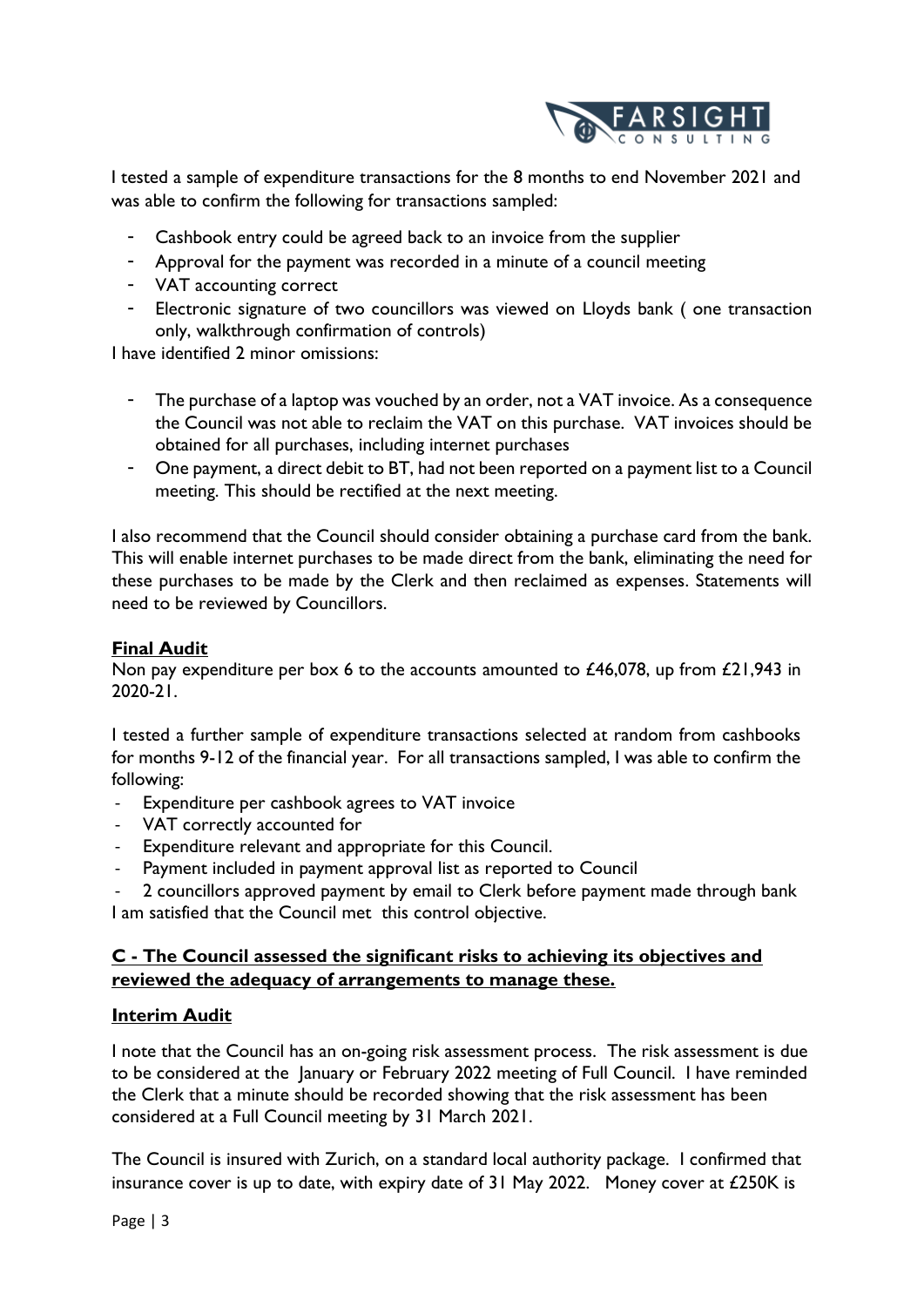

I tested a sample of expenditure transactions for the 8 months to end November 2021 and was able to confirm the following for transactions sampled:

- Cashbook entry could be agreed back to an invoice from the supplier
- Approval for the payment was recorded in a minute of a council meeting
- VAT accounting correct
- Electronic signature of two councillors was viewed on Lloyds bank ( one transaction only, walkthrough confirmation of controls)

I have identified 2 minor omissions:

- The purchase of a laptop was vouched by an order, not a VAT invoice. As a consequence the Council was not able to reclaim the VAT on this purchase. VAT invoices should be obtained for all purchases, including internet purchases
- One payment, a direct debit to BT, had not been reported on a payment list to a Council meeting. This should be rectified at the next meeting.

I also recommend that the Council should consider obtaining a purchase card from the bank. This will enable internet purchases to be made direct from the bank, eliminating the need for these purchases to be made by the Clerk and then reclaimed as expenses. Statements will need to be reviewed by Councillors.

#### **Final Audit**

Non pay expenditure per box 6 to the accounts amounted to £46,078, up from £21,943 in 2020-21.

I tested a further sample of expenditure transactions selected at random from cashbooks for months 9-12 of the financial year. For all transactions sampled, I was able to confirm the following:

- Expenditure per cashbook agrees to VAT invoice
- VAT correctly accounted for
- Expenditure relevant and appropriate for this Council.
- Payment included in payment approval list as reported to Council

2 councillors approved payment by email to Clerk before payment made through bank I am satisfied that the Council met this control objective.

#### **C - The Council assessed the significant risks to achieving its objectives and reviewed the adequacy of arrangements to manage these.**

#### **Interim Audit**

I note that the Council has an on-going risk assessment process. The risk assessment is due to be considered at the January or February 2022 meeting of Full Council. I have reminded the Clerk that a minute should be recorded showing that the risk assessment has been considered at a Full Council meeting by 31 March 2021.

The Council is insured with Zurich, on a standard local authority package. I confirmed that insurance cover is up to date, with expiry date of 31 May 2022. Money cover at £250K is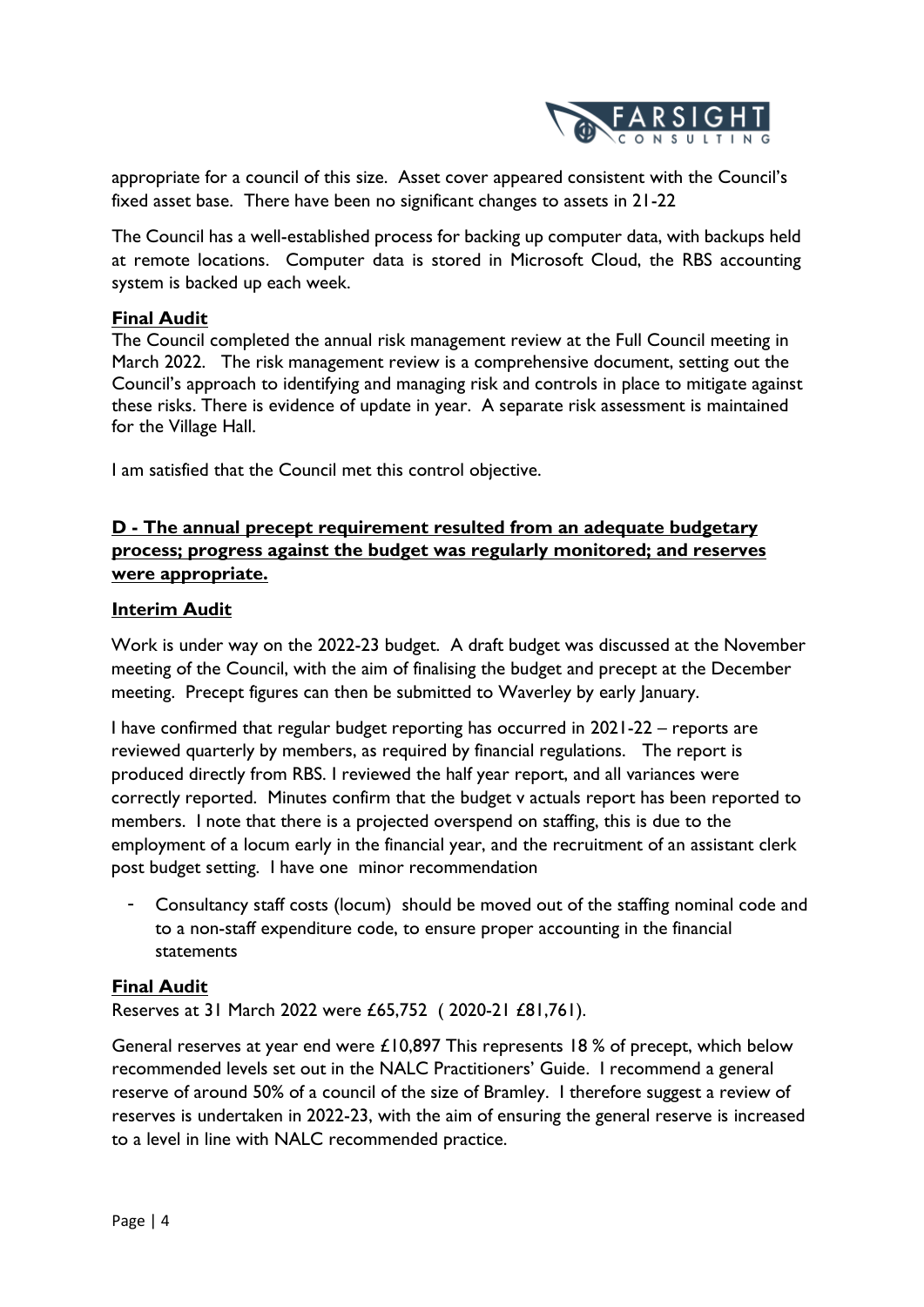

appropriate for a council of this size. Asset cover appeared consistent with the Council's fixed asset base. There have been no significant changes to assets in 21-22

The Council has a well-established process for backing up computer data, with backups held at remote locations. Computer data is stored in Microsoft Cloud, the RBS accounting system is backed up each week.

#### **Final Audit**

The Council completed the annual risk management review at the Full Council meeting in March 2022. The risk management review is a comprehensive document, setting out the Council's approach to identifying and managing risk and controls in place to mitigate against these risks. There is evidence of update in year. A separate risk assessment is maintained for the Village Hall.

I am satisfied that the Council met this control objective.

#### **D - The annual precept requirement resulted from an adequate budgetary process; progress against the budget was regularly monitored; and reserves were appropriate.**

#### **Interim Audit**

Work is under way on the 2022-23 budget. A draft budget was discussed at the November meeting of the Council, with the aim of finalising the budget and precept at the December meeting. Precept figures can then be submitted to Waverley by early January.

I have confirmed that regular budget reporting has occurred in 2021-22 – reports are reviewed quarterly by members, as required by financial regulations. The report is produced directly from RBS. I reviewed the half year report, and all variances were correctly reported. Minutes confirm that the budget v actuals report has been reported to members. I note that there is a projected overspend on staffing, this is due to the employment of a locum early in the financial year, and the recruitment of an assistant clerk post budget setting. I have one minor recommendation

Consultancy staff costs (locum) should be moved out of the staffing nominal code and to a non-staff expenditure code, to ensure proper accounting in the financial statements

#### **Final Audit**

Reserves at 31 March 2022 were £65,752 ( 2020-21 £81,761).

General reserves at year end were £10,897 This represents 18 % of precept, which below recommended levels set out in the NALC Practitioners' Guide. I recommend a general reserve of around 50% of a council of the size of Bramley. I therefore suggest a review of reserves is undertaken in 2022-23, with the aim of ensuring the general reserve is increased to a level in line with NALC recommended practice.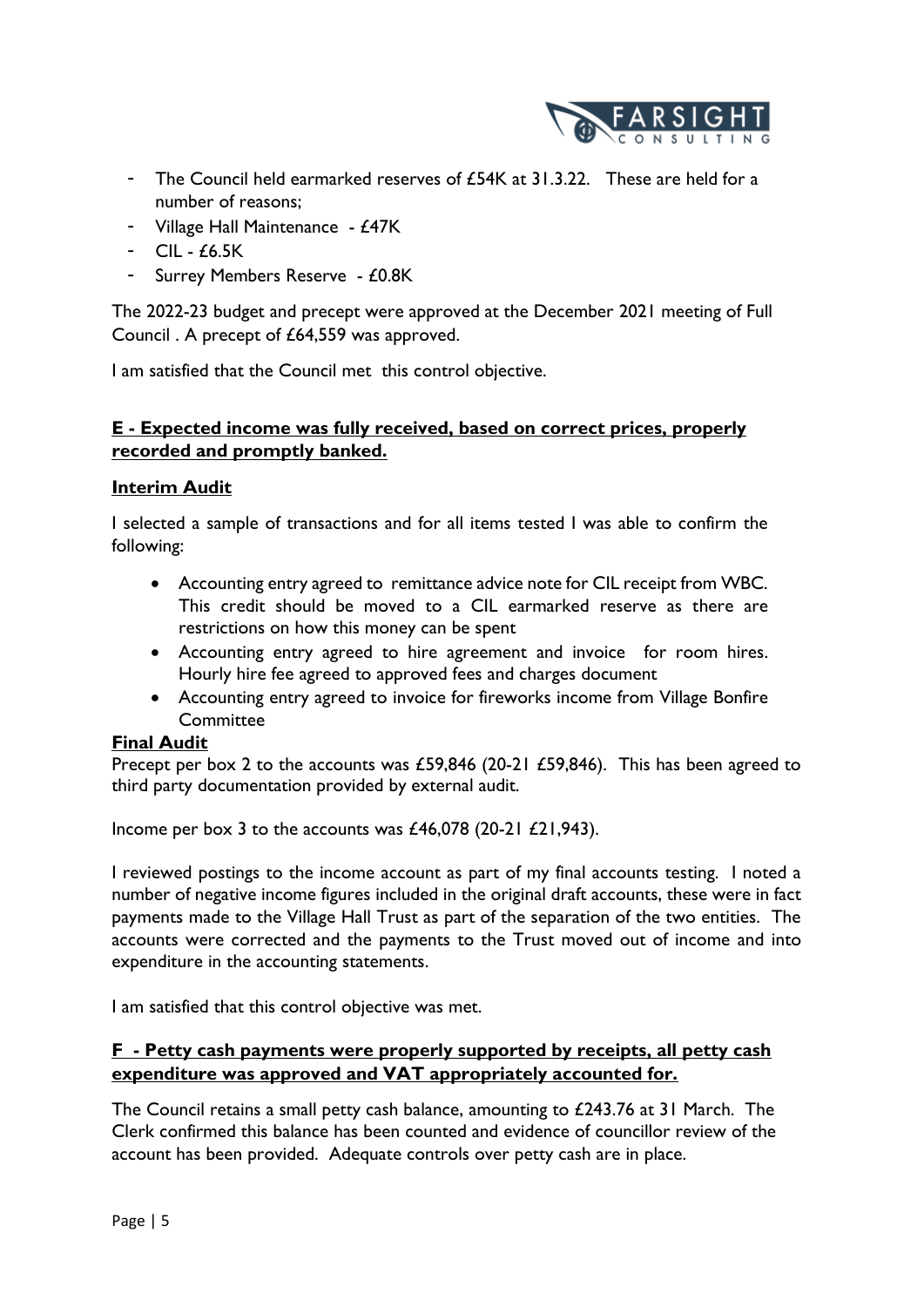

- The Council held earmarked reserves of £54K at 31.3.22. These are held for a number of reasons;
- Village Hall Maintenance £47K
- CIL £6.5K
- Surrey Members Reserve £0.8K

The 2022-23 budget and precept were approved at the December 2021 meeting of Full Council . A precept of £64,559 was approved.

I am satisfied that the Council met this control objective.

#### **E - Expected income was fully received, based on correct prices, properly recorded and promptly banked.**

#### **Interim Audit**

I selected a sample of transactions and for all items tested I was able to confirm the following:

- Accounting entry agreed to remittance advice note for CIL receipt from WBC. This credit should be moved to a CIL earmarked reserve as there are restrictions on how this money can be spent
- Accounting entry agreed to hire agreement and invoice for room hires. Hourly hire fee agreed to approved fees and charges document
- Accounting entry agreed to invoice for fireworks income from Village Bonfire **Committee**

#### **Final Audit**

Precept per box 2 to the accounts was £59,846 (20-21 £59,846). This has been agreed to third party documentation provided by external audit.

Income per box 3 to the accounts was  $£46,078$  (20-21  $£21,943$ ).

I reviewed postings to the income account as part of my final accounts testing. I noted a number of negative income figures included in the original draft accounts, these were in fact payments made to the Village Hall Trust as part of the separation of the two entities. The accounts were corrected and the payments to the Trust moved out of income and into expenditure in the accounting statements.

I am satisfied that this control objective was met.

#### **F - Petty cash payments were properly supported by receipts, all petty cash expenditure was approved and VAT appropriately accounted for.**

The Council retains a small petty cash balance, amounting to £243.76 at 31 March. The Clerk confirmed this balance has been counted and evidence of councillor review of the account has been provided. Adequate controls over petty cash are in place.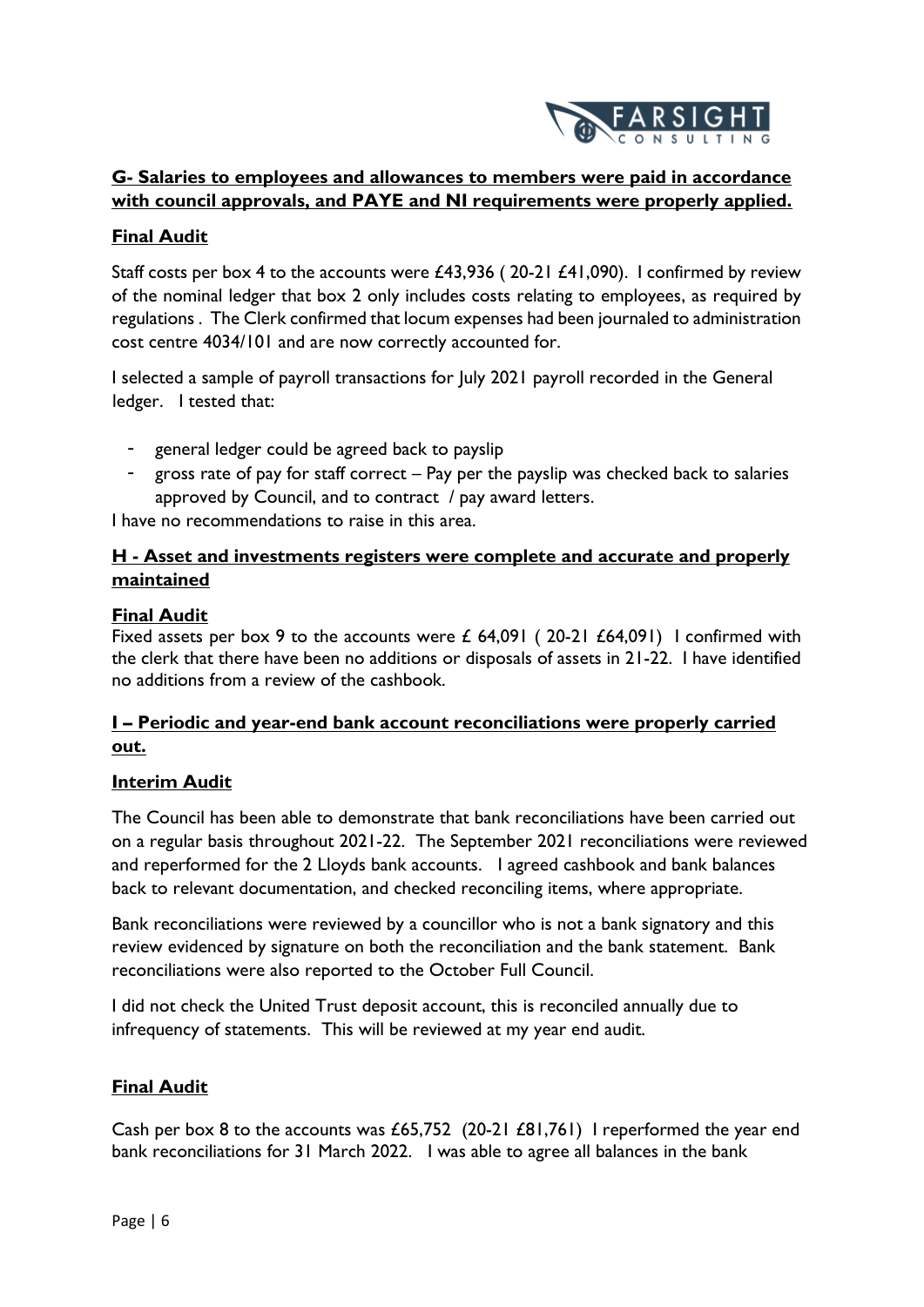

### **G- Salaries to employees and allowances to members were paid in accordance with council approvals, and PAYE and NI requirements were properly applied.**

#### **Final Audit**

Staff costs per box 4 to the accounts were £43,936 ( 20-21 £41,090). I confirmed by review of the nominal ledger that box 2 only includes costs relating to employees, as required by regulations . The Clerk confirmed that locum expenses had been journaled to administration cost centre 4034/101 and are now correctly accounted for.

I selected a sample of payroll transactions for July 2021 payroll recorded in the General ledger. I tested that:

- general ledger could be agreed back to payslip
- gross rate of pay for staff correct  $-$  Pay per the payslip was checked back to salaries approved by Council, and to contract / pay award letters.

I have no recommendations to raise in this area.

#### **H - Asset and investments registers were complete and accurate and properly maintained**

#### **Final Audit**

Fixed assets per box 9 to the accounts were £ 64,091 (20-21 £64,091) I confirmed with the clerk that there have been no additions or disposals of assets in 21-22. I have identified no additions from a review of the cashbook.

#### **I – Periodic and year-end bank account reconciliations were properly carried out.**

#### **Interim Audit**

The Council has been able to demonstrate that bank reconciliations have been carried out on a regular basis throughout 2021-22. The September 2021 reconciliations were reviewed and reperformed for the 2 Lloyds bank accounts. I agreed cashbook and bank balances back to relevant documentation, and checked reconciling items, where appropriate.

Bank reconciliations were reviewed by a councillor who is not a bank signatory and this review evidenced by signature on both the reconciliation and the bank statement. Bank reconciliations were also reported to the October Full Council.

I did not check the United Trust deposit account, this is reconciled annually due to infrequency of statements. This will be reviewed at my year end audit.

#### **Final Audit**

Cash per box 8 to the accounts was £65,752 (20-21 £81,761) I reperformed the year end bank reconciliations for 31 March 2022. I was able to agree all balances in the bank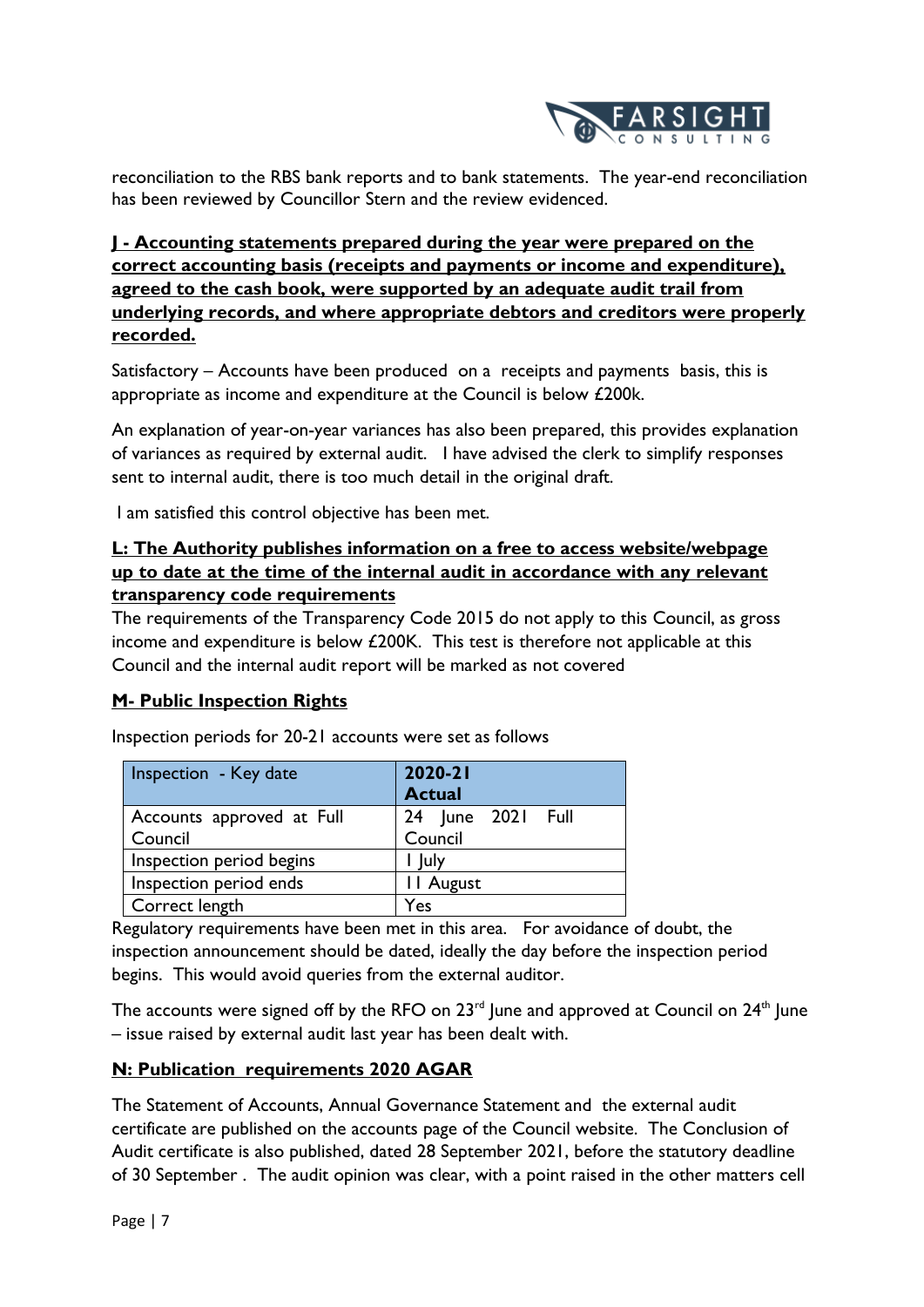

reconciliation to the RBS bank reports and to bank statements. The year-end reconciliation has been reviewed by Councillor Stern and the review evidenced.

#### **J - Accounting statements prepared during the year were prepared on the correct accounting basis (receipts and payments or income and expenditure), agreed to the cash book, were supported by an adequate audit trail from underlying records, and where appropriate debtors and creditors were properly recorded.**

Satisfactory – Accounts have been produced on a receipts and payments basis, this is appropriate as income and expenditure at the Council is below £200k.

An explanation of year-on-year variances has also been prepared, this provides explanation of variances as required by external audit. I have advised the clerk to simplify responses sent to internal audit, there is too much detail in the original draft.

I am satisfied this control objective has been met.

#### **L: The Authority publishes information on a free to access website/webpage up to date at the time of the internal audit in accordance with any relevant transparency code requirements**

The requirements of the Transparency Code 2015 do not apply to this Council, as gross income and expenditure is below £200K. This test is therefore not applicable at this Council and the internal audit report will be marked as not covered

#### **M- Public Inspection Rights**

| Inspection - Key date     | 2020-21<br><b>Actual</b> |
|---------------------------|--------------------------|
| Accounts approved at Full | 24 June 2021 Full        |
| Council                   | Council                  |
| Inspection period begins  | luly                     |
| Inspection period ends    | <b>II</b> August         |
| Correct length            | Yes                      |

Inspection periods for 20-21 accounts were set as follows

Regulatory requirements have been met in this area. For avoidance of doubt, the inspection announcement should be dated, ideally the day before the inspection period begins. This would avoid queries from the external auditor.

The accounts were signed off by the RFO on  $23<sup>rd</sup>$  lune and approved at Council on  $24<sup>th</sup>$  lune – issue raised by external audit last year has been dealt with.

#### **N: Publication requirements 2020 AGAR**

The Statement of Accounts, Annual Governance Statement and the external audit certificate are published on the accounts page of the Council website. The Conclusion of Audit certificate is also published, dated 28 September 2021, before the statutory deadline of 30 September . The audit opinion was clear, with a point raised in the other matters cell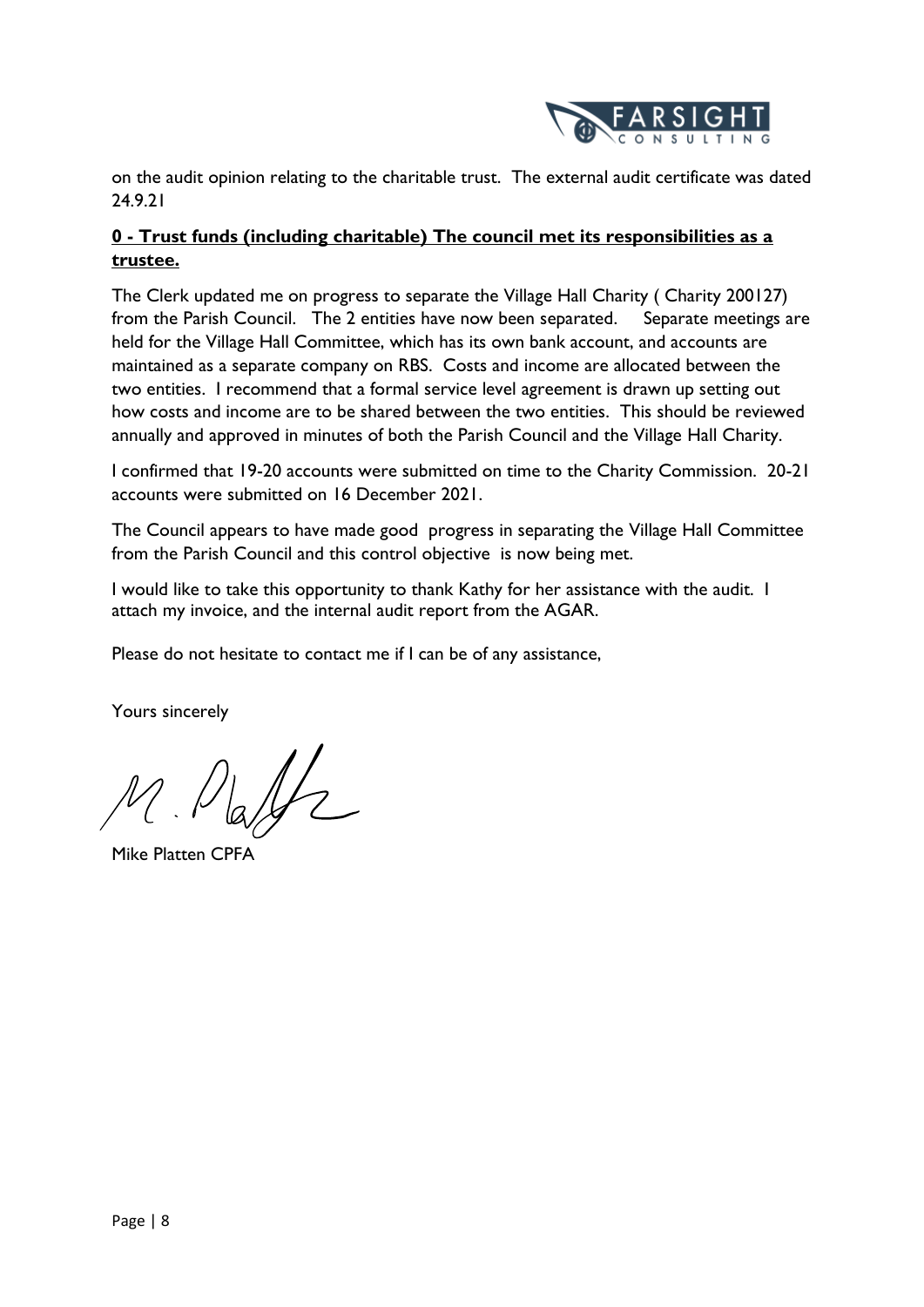

on the audit opinion relating to the charitable trust. The external audit certificate was dated 24.9.21

#### **0 - Trust funds (including charitable) The council met its responsibilities as a trustee.**

The Clerk updated me on progress to separate the Village Hall Charity ( Charity 200127) from the Parish Council. The 2 entities have now been separated. Separate meetings are held for the Village Hall Committee, which has its own bank account, and accounts are maintained as a separate company on RBS. Costs and income are allocated between the two entities. I recommend that a formal service level agreement is drawn up setting out how costs and income are to be shared between the two entities. This should be reviewed annually and approved in minutes of both the Parish Council and the Village Hall Charity.

I confirmed that 19-20 accounts were submitted on time to the Charity Commission. 20-21 accounts were submitted on 16 December 2021.

The Council appears to have made good progress in separating the Village Hall Committee from the Parish Council and this control objective is now being met.

I would like to take this opportunity to thank Kathy for her assistance with the audit. I attach my invoice, and the internal audit report from the AGAR.

Please do not hesitate to contact me if I can be of any assistance,

Yours sincerely

Mike Platten CPFA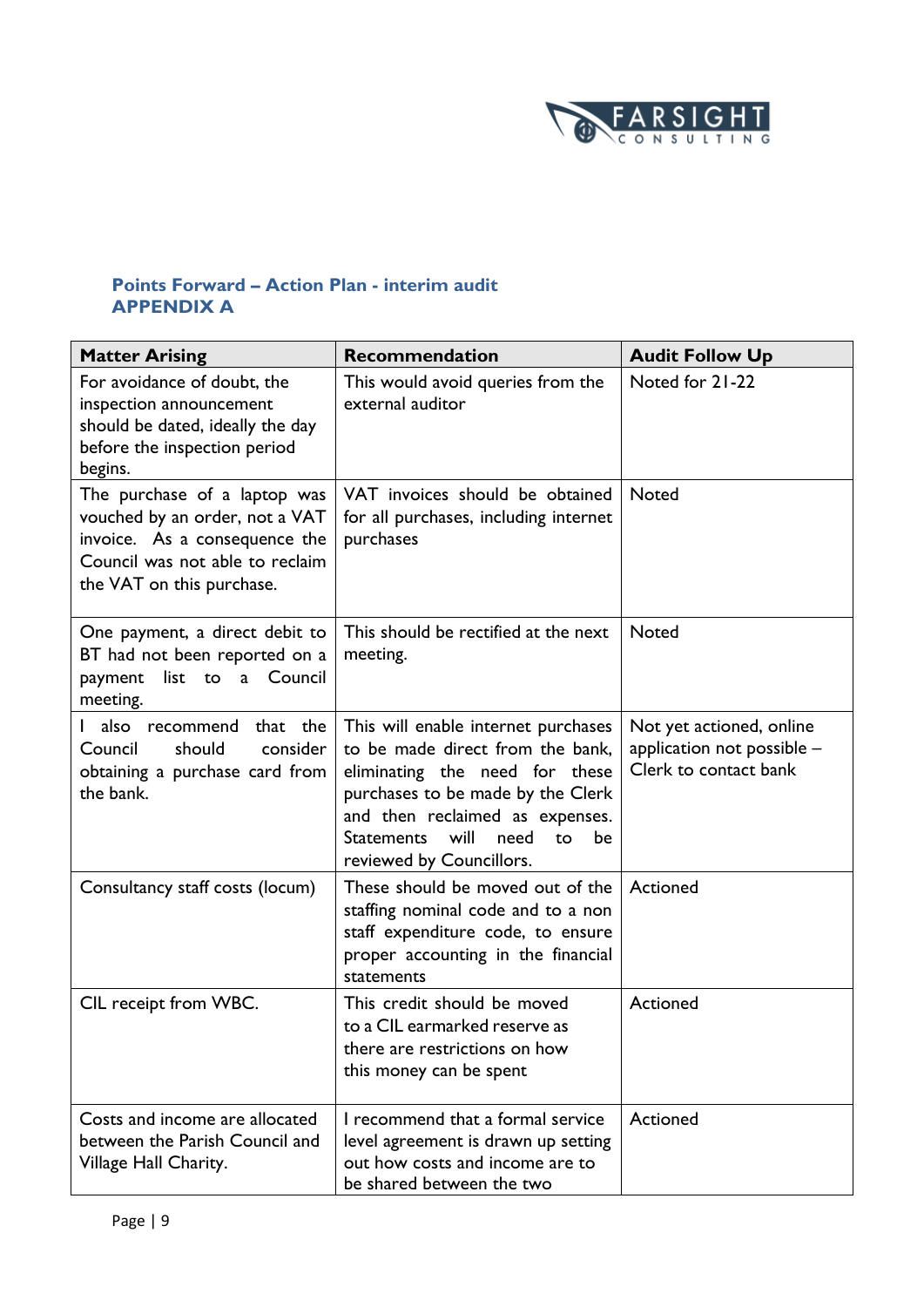

#### **Points Forward – Action Plan - interim audit APPENDIX A**

| <b>Matter Arising</b>                                                                                                                                           | <b>Recommendation</b>                                                                                                                                                                                                                                   | <b>Audit Follow Up</b>                                                          |
|-----------------------------------------------------------------------------------------------------------------------------------------------------------------|---------------------------------------------------------------------------------------------------------------------------------------------------------------------------------------------------------------------------------------------------------|---------------------------------------------------------------------------------|
| For avoidance of doubt, the<br>inspection announcement<br>should be dated, ideally the day<br>before the inspection period<br>begins.                           | This would avoid queries from the<br>external auditor                                                                                                                                                                                                   | Noted for 21-22                                                                 |
| The purchase of a laptop was<br>vouched by an order, not a VAT<br>invoice. As a consequence the<br>Council was not able to reclaim<br>the VAT on this purchase. | VAT invoices should be obtained<br>for all purchases, including internet<br>purchases                                                                                                                                                                   | <b>Noted</b>                                                                    |
| One payment, a direct debit to<br>BT had not been reported on a<br>Council<br>list to<br>payment<br>a<br>meeting.                                               | This should be rectified at the next<br>meeting.                                                                                                                                                                                                        | <b>Noted</b>                                                                    |
| also recommend<br>that the<br>L<br>should<br>Council<br>consider<br>obtaining a purchase card from<br>the bank.                                                 | This will enable internet purchases<br>to be made direct from the bank,<br>eliminating the need for these<br>purchases to be made by the Clerk<br>and then reclaimed as expenses.<br>Statements<br>will<br>need<br>to<br>be<br>reviewed by Councillors. | Not yet actioned, online<br>application not possible -<br>Clerk to contact bank |
| Consultancy staff costs (locum)                                                                                                                                 | These should be moved out of the<br>staffing nominal code and to a non<br>staff expenditure code, to ensure<br>proper accounting in the financial<br>statements                                                                                         | Actioned                                                                        |
| CIL receipt from WBC.                                                                                                                                           | This credit should be moved<br>to a CIL earmarked reserve as<br>there are restrictions on how<br>this money can be spent                                                                                                                                | Actioned                                                                        |
| Costs and income are allocated<br>between the Parish Council and<br>Village Hall Charity.                                                                       | I recommend that a formal service<br>level agreement is drawn up setting<br>out how costs and income are to<br>be shared between the two                                                                                                                | Actioned                                                                        |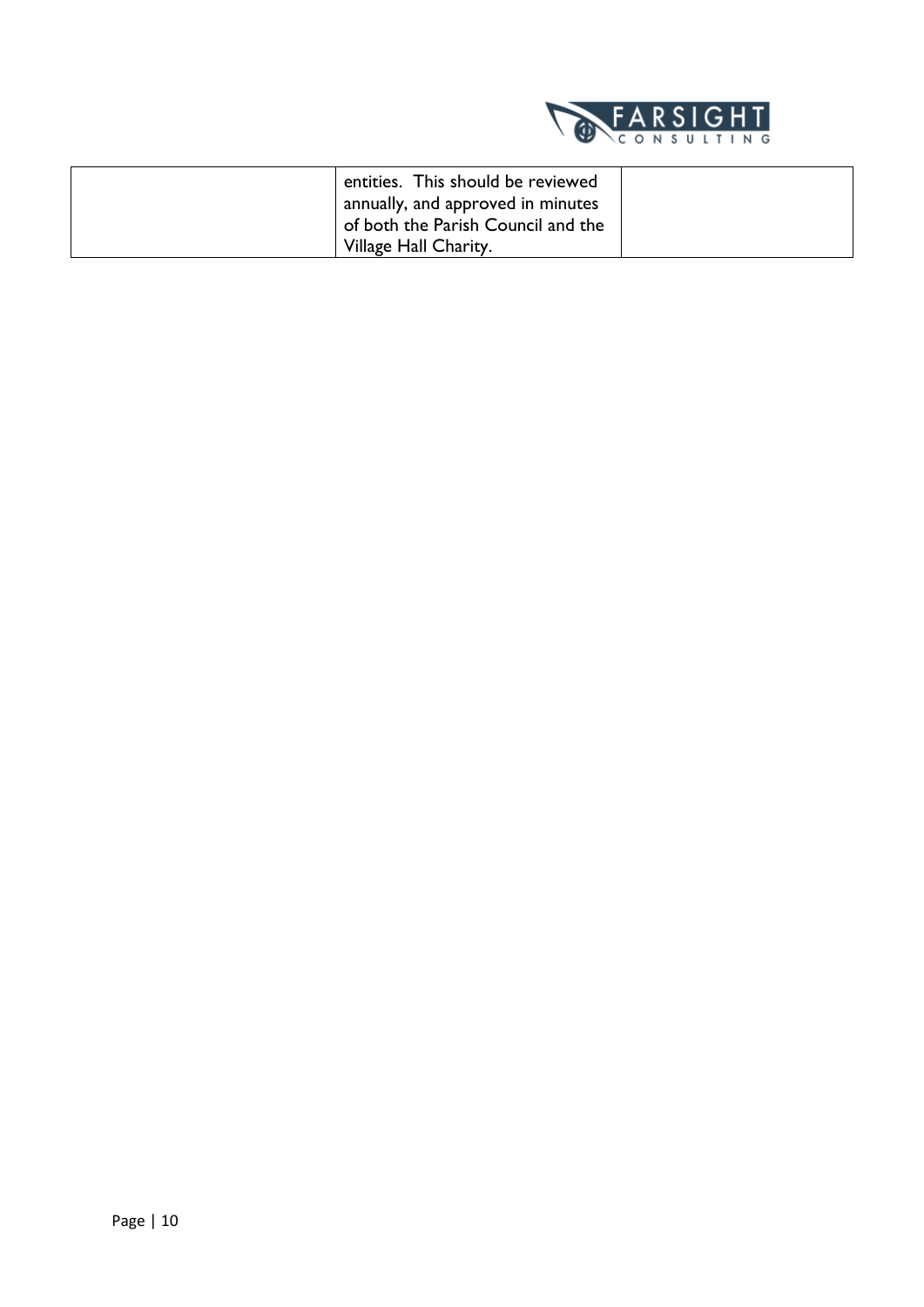

| entities. This should be reviewed<br>annually, and approved in minutes |  |
|------------------------------------------------------------------------|--|
| of both the Parish Council and the                                     |  |
| Village Hall Charity.                                                  |  |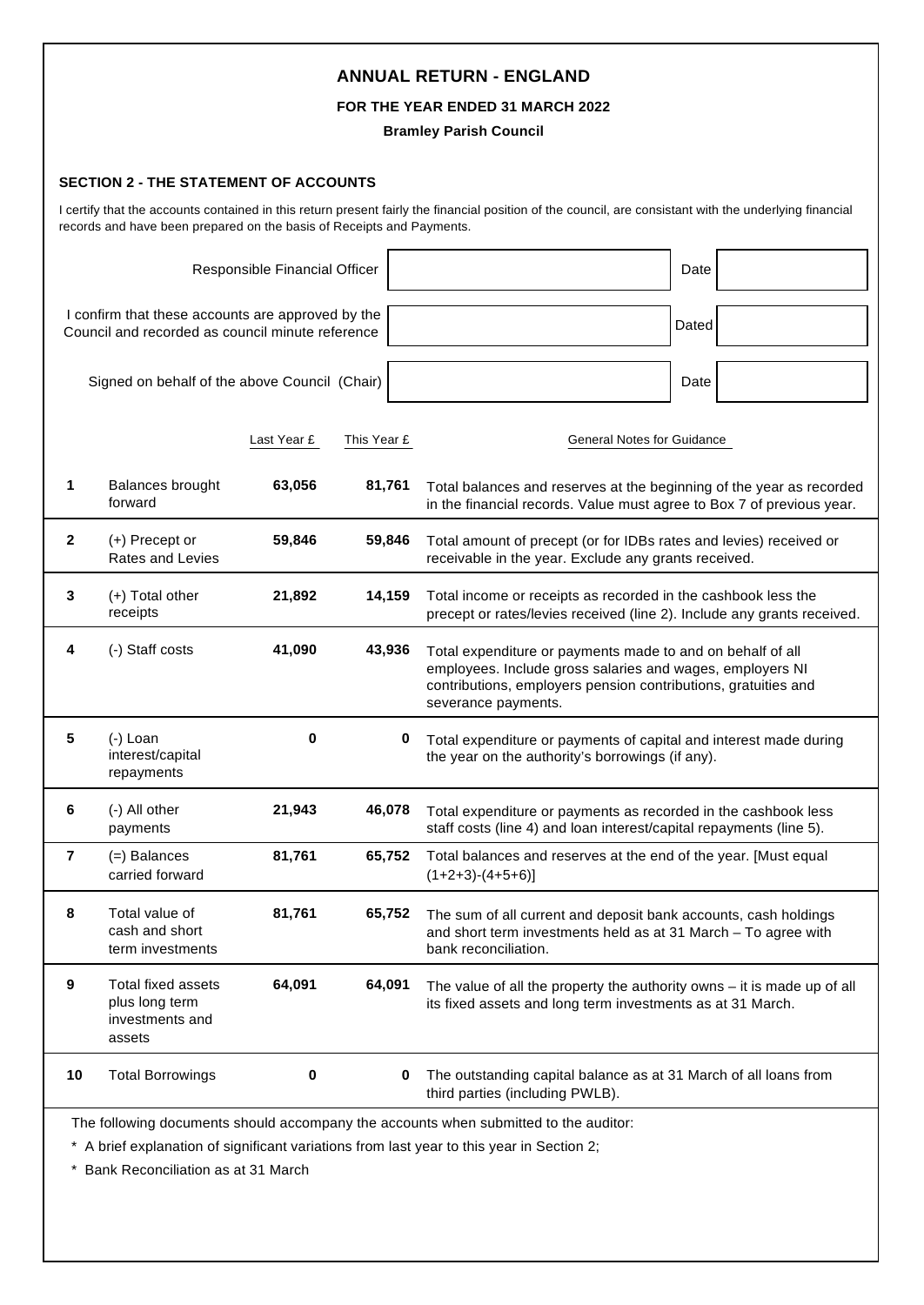|                         |                                                                                                       |                               |             | <b>ANNUAL RETURN - ENGLAND</b><br>FOR THE YEAR ENDED 31 MARCH 2022<br><b>Bramley Parish Council</b>                                                                                                              |
|-------------------------|-------------------------------------------------------------------------------------------------------|-------------------------------|-------------|------------------------------------------------------------------------------------------------------------------------------------------------------------------------------------------------------------------|
|                         | <b>SECTION 2 - THE STATEMENT OF ACCOUNTS</b>                                                          |                               |             |                                                                                                                                                                                                                  |
|                         | records and have been prepared on the basis of Receipts and Payments.                                 |                               |             | I certify that the accounts contained in this return present fairly the financial position of the council, are consistant with the underlying financial                                                          |
|                         |                                                                                                       | Responsible Financial Officer |             | Date                                                                                                                                                                                                             |
|                         | I confirm that these accounts are approved by the<br>Council and recorded as council minute reference |                               |             | Dated                                                                                                                                                                                                            |
|                         | Signed on behalf of the above Council (Chair)                                                         |                               |             | Date                                                                                                                                                                                                             |
|                         |                                                                                                       | Last Year £                   | This Year £ | General Notes for Guidance                                                                                                                                                                                       |
| 1                       | Balances brought<br>forward                                                                           | 63,056                        | 81,761      | Total balances and reserves at the beginning of the year as recorded<br>in the financial records. Value must agree to Box 7 of previous year.                                                                    |
| 2                       | $(+)$ Precept or<br>Rates and Levies                                                                  | 59,846                        | 59,846      | Total amount of precept (or for IDBs rates and levies) received or<br>receivable in the year. Exclude any grants received.                                                                                       |
| 3                       | (+) Total other<br>receipts                                                                           | 21,892                        | 14,159      | Total income or receipts as recorded in the cashbook less the<br>precept or rates/levies received (line 2). Include any grants received.                                                                         |
| 4                       | (-) Staff costs                                                                                       | 41,090                        | 43,936      | Total expenditure or payments made to and on behalf of all<br>employees. Include gross salaries and wages, employers NI<br>contributions, employers pension contributions, gratuities and<br>severance payments. |
| 5                       | (-) Loan<br>interest/capital<br>repayments                                                            | 0                             |             | Total expenditure or payments of capital and interest made during<br>the year on the authority's borrowings (if any).                                                                                            |
| 6                       | (-) All other<br>payments                                                                             | 21,943                        | 46,078      | Total expenditure or payments as recorded in the cashbook less<br>staff costs (line 4) and loan interest/capital repayments (line 5).                                                                            |
| $\overline{\mathbf{r}}$ | $(=)$ Balances<br>carried forward                                                                     | 81,761                        | 65,752      | Total balances and reserves at the end of the year. [Must equal<br>$(1+2+3)-(4+5+6)$ ]                                                                                                                           |
| 8                       | Total value of<br>cash and short<br>term investments                                                  | 81,761                        | 65,752      | The sum of all current and deposit bank accounts, cash holdings<br>and short term investments held as at 31 March - To agree with<br>bank reconciliation.                                                        |
| 9                       | <b>Total fixed assets</b><br>plus long term<br>investments and<br>assets                              | 64,091                        | 64,091      | The value of all the property the authority owns $-$ it is made up of all<br>its fixed assets and long term investments as at 31 March.                                                                          |
| 10                      | <b>Total Borrowings</b>                                                                               | 0                             | 0           | The outstanding capital balance as at 31 March of all loans from<br>third parties (including PWLB).                                                                                                              |
|                         |                                                                                                       |                               |             | The following documents should accompany the accounts when submitted to the auditor:<br>* A brief explanation of significant variations from last year to this year in Section 2;                                |

\* Bank Reconciliation as at 31 March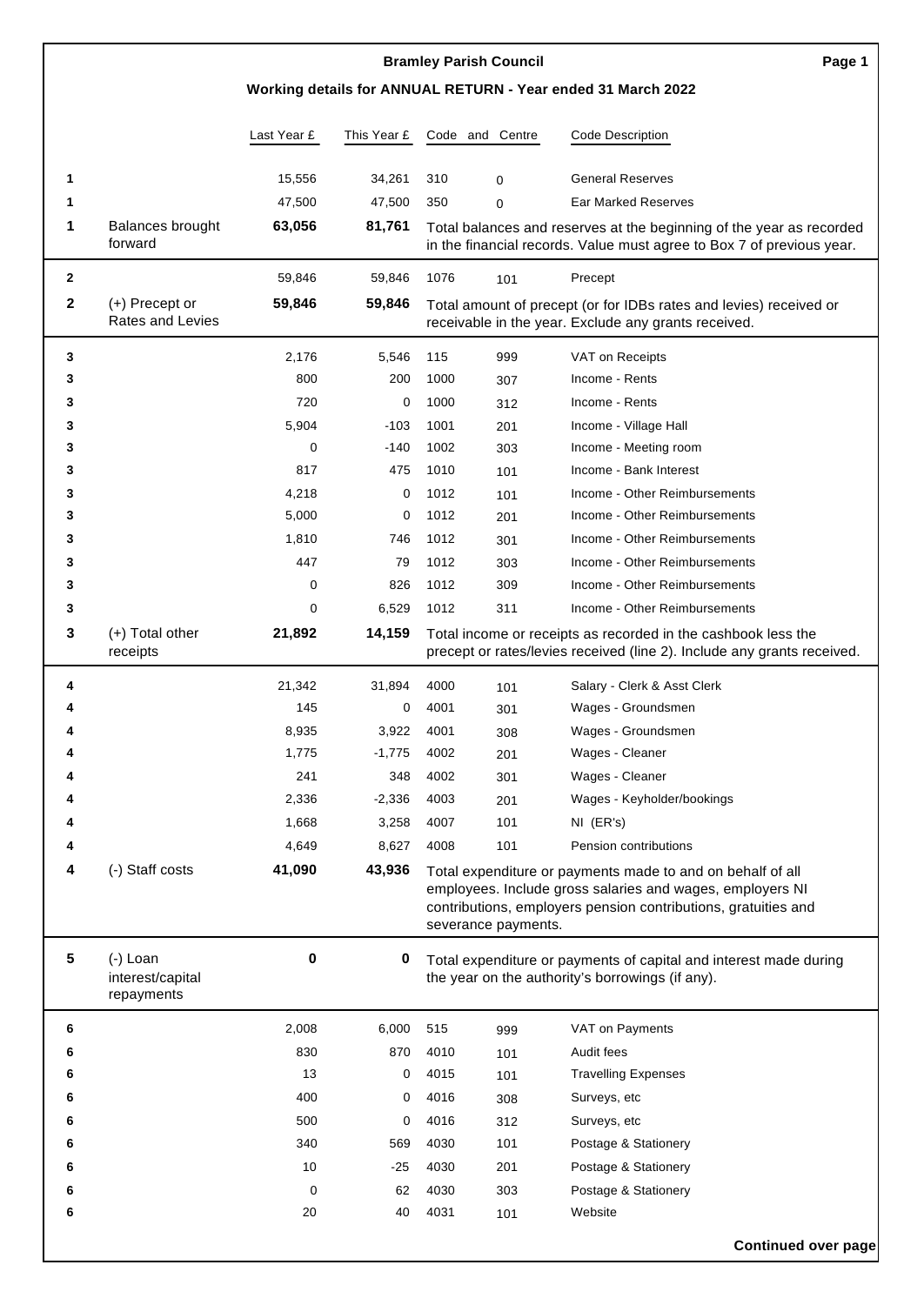|              |                                              |             |             |      | <b>Bramley Parish Council</b> | Page 1                                                                                                                                                                                    |
|--------------|----------------------------------------------|-------------|-------------|------|-------------------------------|-------------------------------------------------------------------------------------------------------------------------------------------------------------------------------------------|
|              |                                              |             |             |      |                               | Working details for ANNUAL RETURN - Year ended 31 March 2022                                                                                                                              |
|              |                                              |             |             |      |                               |                                                                                                                                                                                           |
|              |                                              | Last Year £ | This Year £ |      | Code and Centre               | Code Description                                                                                                                                                                          |
| 1            |                                              | 15,556      | 34,261      | 310  | $\mathbf 0$                   | <b>General Reserves</b>                                                                                                                                                                   |
| 1            |                                              | 47,500      | 47,500      | 350  | $\Omega$                      | <b>Ear Marked Reserves</b>                                                                                                                                                                |
| 1            | Balances brought                             | 63,056      | 81,761      |      |                               | Total balances and reserves at the beginning of the year as recorded                                                                                                                      |
|              | forward                                      |             |             |      |                               | in the financial records. Value must agree to Box 7 of previous year.                                                                                                                     |
| $\mathbf{2}$ |                                              | 59,846      | 59,846      | 1076 | 101                           | Precept                                                                                                                                                                                   |
| 2            | $(+)$ Precept or<br><b>Rates and Levies</b>  | 59,846      | 59,846      |      |                               | Total amount of precept (or for IDBs rates and levies) received or<br>receivable in the year. Exclude any grants received.                                                                |
| 3            |                                              | 2,176       | 5,546       | 115  | 999                           | VAT on Receipts                                                                                                                                                                           |
| 3            |                                              | 800         | 200         | 1000 | 307                           | Income - Rents                                                                                                                                                                            |
| 3            |                                              | 720         | 0           | 1000 | 312                           | Income - Rents                                                                                                                                                                            |
| 3            |                                              | 5,904       | $-103$      | 1001 | 201                           | Income - Village Hall                                                                                                                                                                     |
| 3            |                                              | 0           | $-140$      | 1002 | 303                           | Income - Meeting room                                                                                                                                                                     |
| 3            |                                              | 817         | 475         | 1010 | 101                           | Income - Bank Interest                                                                                                                                                                    |
| 3            |                                              | 4,218       | 0           | 1012 | 101                           | Income - Other Reimbursements                                                                                                                                                             |
| 3            |                                              | 5,000       | 0           | 1012 | 201                           | Income - Other Reimbursements                                                                                                                                                             |
| 3            |                                              | 1,810       | 746         | 1012 | 301                           | Income - Other Reimbursements                                                                                                                                                             |
| 3            |                                              | 447         | 79          | 1012 | 303                           | Income - Other Reimbursements                                                                                                                                                             |
| 3            |                                              | 0           | 826         | 1012 | 309                           | Income - Other Reimbursements                                                                                                                                                             |
| 3            |                                              | 0           | 6,529       | 1012 | 311                           | Income - Other Reimbursements                                                                                                                                                             |
| 3            | $(+)$ Total other<br>receipts                | 21,892      | 14,159      |      |                               | Total income or receipts as recorded in the cashbook less the<br>precept or rates/levies received (line 2). Include any grants received.                                                  |
| 4            |                                              | 21,342      | 31,894      | 4000 | 101                           | Salary - Clerk & Asst Clerk                                                                                                                                                               |
|              |                                              | 145         | 0           | 4001 | 301                           | Wages - Groundsmen                                                                                                                                                                        |
| Δ            |                                              | 8,935       | 3,922       | 4001 | 308                           | Wages - Groundsmen                                                                                                                                                                        |
| 4            |                                              | 1,775       | $-1,775$    | 4002 | 201                           | Wages - Cleaner                                                                                                                                                                           |
| 4            |                                              | 241         | 348         | 4002 | 301                           | Wages - Cleaner                                                                                                                                                                           |
| 4            |                                              | 2,336       | $-2,336$    | 4003 | 201                           | Wages - Keyholder/bookings                                                                                                                                                                |
| 4            |                                              | 1,668       | 3,258       | 4007 | 101                           | NI (ER's)                                                                                                                                                                                 |
| 4            |                                              | 4,649       | 8,627       | 4008 | 101                           | Pension contributions                                                                                                                                                                     |
| 4            | (-) Staff costs                              | 41,090      | 43,936      |      | severance payments.           | Total expenditure or payments made to and on behalf of all<br>employees. Include gross salaries and wages, employers NI<br>contributions, employers pension contributions, gratuities and |
| 5            | $(-)$ Loan<br>interest/capital<br>repayments | 0           | 0           |      |                               | Total expenditure or payments of capital and interest made during<br>the year on the authority's borrowings (if any).                                                                     |
| 6            |                                              | 2,008       | 6,000       | 515  | 999                           | VAT on Payments                                                                                                                                                                           |
| 6            |                                              | 830         | 870         | 4010 | 101                           | Audit fees                                                                                                                                                                                |
| 6            |                                              | 13          | 0           | 4015 | 101                           | <b>Travelling Expenses</b>                                                                                                                                                                |
| 6            |                                              | 400         | 0           | 4016 | 308                           | Surveys, etc                                                                                                                                                                              |
| 6            |                                              | 500         | 0           | 4016 | 312                           | Surveys, etc                                                                                                                                                                              |
| 6            |                                              | 340         | 569         | 4030 | 101                           | Postage & Stationery                                                                                                                                                                      |
| 6            |                                              | 10          | -25         | 4030 | 201                           | Postage & Stationery                                                                                                                                                                      |
| 6            |                                              | 0           | 62          | 4030 | 303                           | Postage & Stationery                                                                                                                                                                      |
| 6            |                                              | 20          | 40          | 4031 | 101                           | Website                                                                                                                                                                                   |
|              |                                              |             |             |      |                               | <b>Continued over page</b>                                                                                                                                                                |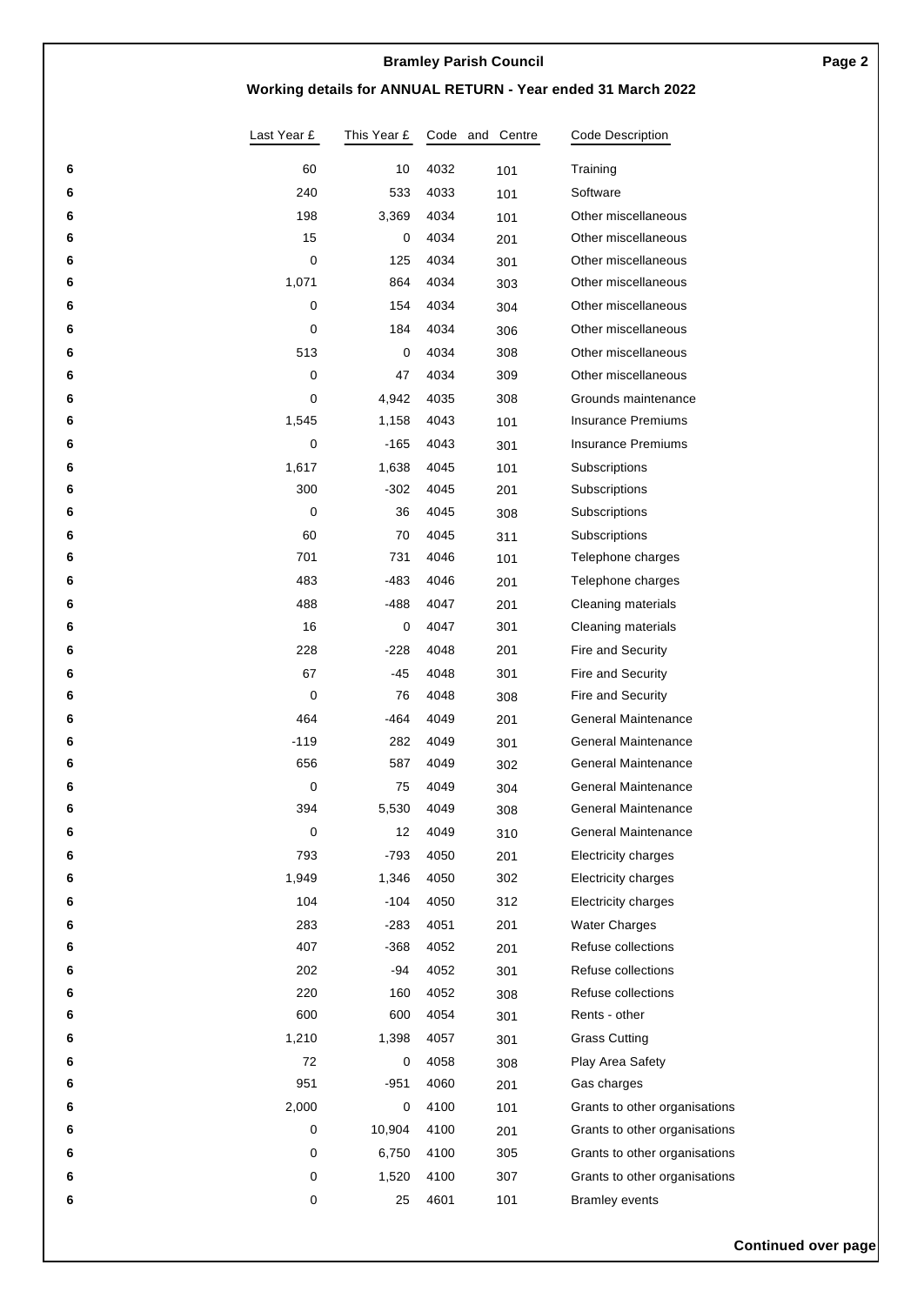#### **Bramley Parish Council**

#### **Working details for ANNUAL RETURN - Year ended 31 March 2022**

|        | Last Year £ | This Year £ |              | Code and Centre | Code Description                                  |
|--------|-------------|-------------|--------------|-----------------|---------------------------------------------------|
| 6      | 60          | 10          | 4032         | 101             | Training                                          |
| 6      | 240         | 533         | 4033         | 101             | Software                                          |
| 6      | 198         | 3,369       | 4034         | 101             | Other miscellaneous                               |
| 6      | 15          | 0           | 4034         | 201             | Other miscellaneous                               |
| 6      | 0           | 125         | 4034         | 301             | Other miscellaneous                               |
| 6      | 1,071       | 864         | 4034         | 303             | Other miscellaneous                               |
| 6      | 0           | 154         | 4034         | 304             | Other miscellaneous                               |
| 6      | 0           | 184         | 4034         | 306             | Other miscellaneous                               |
| 6      | 513         | 0           | 4034         | 308             | Other miscellaneous                               |
| 6      | 0           | 47          | 4034         | 309             | Other miscellaneous                               |
| 6      | 0           | 4,942       | 4035         | 308             | Grounds maintenance                               |
| 6      | 1,545       | 1,158       | 4043         | 101             | <b>Insurance Premiums</b>                         |
| 6      | 0           | $-165$      | 4043         | 301             | <b>Insurance Premiums</b>                         |
| 6      | 1,617       | 1,638       | 4045         | 101             | Subscriptions                                     |
| 6      | 300         | $-302$      | 4045         | 201             | Subscriptions                                     |
| 6      | 0           | 36          | 4045         | 308             | Subscriptions                                     |
| 6      | 60          | 70          | 4045         | 311             | Subscriptions                                     |
| 6      | 701         | 731         | 4046         | 101             | Telephone charges                                 |
| 6      | 483         | $-483$      | 4046         | 201             | Telephone charges                                 |
| 6      | 488         | $-488$      | 4047         | 201             | Cleaning materials                                |
| 6      | 16          | 0           | 4047         | 301             | Cleaning materials                                |
| 6      | 228         | $-228$      | 4048         | 201             | Fire and Security                                 |
| 6      | 67          | -45         | 4048         | 301             | Fire and Security                                 |
| 6      | $\mathbf 0$ | 76          | 4048         | 308             | Fire and Security                                 |
| 6      | 464         | $-464$      | 4049         | 201             | <b>General Maintenance</b>                        |
| 6      | $-119$      | 282         | 4049         | 301             | <b>General Maintenance</b>                        |
| 6      | 656         | 587         | 4049         | 302             | <b>General Maintenance</b>                        |
| 6<br>6 | 0<br>394    | 75<br>5,530 | 4049<br>4049 | 304             | <b>General Maintenance</b><br>General Maintenance |
| 6      | 0           | 12          | 4049         | 308             | <b>General Maintenance</b>                        |
| 6      | 793         | $-793$      | 4050         | 310<br>201      | <b>Electricity charges</b>                        |
| 6      | 1,949       | 1,346       | 4050         | 302             | Electricity charges                               |
| 6      | 104         | $-104$      | 4050         | 312             | Electricity charges                               |
| 6      | 283         | $-283$      | 4051         | 201             | <b>Water Charges</b>                              |
| 6      | 407         | $-368$      | 4052         | 201             | Refuse collections                                |
| 6      | 202         | -94         | 4052         | 301             | Refuse collections                                |
| 6      | 220         | 160         | 4052         | 308             | Refuse collections                                |
| 6      | 600         | 600         | 4054         | 301             | Rents - other                                     |
| 6      | 1,210       | 1,398       | 4057         | 301             | <b>Grass Cutting</b>                              |
| 6      | 72          | 0           | 4058         | 308             | Play Area Safety                                  |
| 6      | 951         | $-951$      | 4060         | 201             | Gas charges                                       |
| 6      | 2,000       | 0           | 4100         | 101             | Grants to other organisations                     |
| 6      | 0           | 10,904      | 4100         | 201             | Grants to other organisations                     |
| 6      | 0           | 6,750       | 4100         | 305             | Grants to other organisations                     |
| 6      | 0           | 1,520       | 4100         | 307             | Grants to other organisations                     |
| 6      | 0           | 25          | 4601         | 101             | <b>Bramley events</b>                             |
|        |             |             |              |                 |                                                   |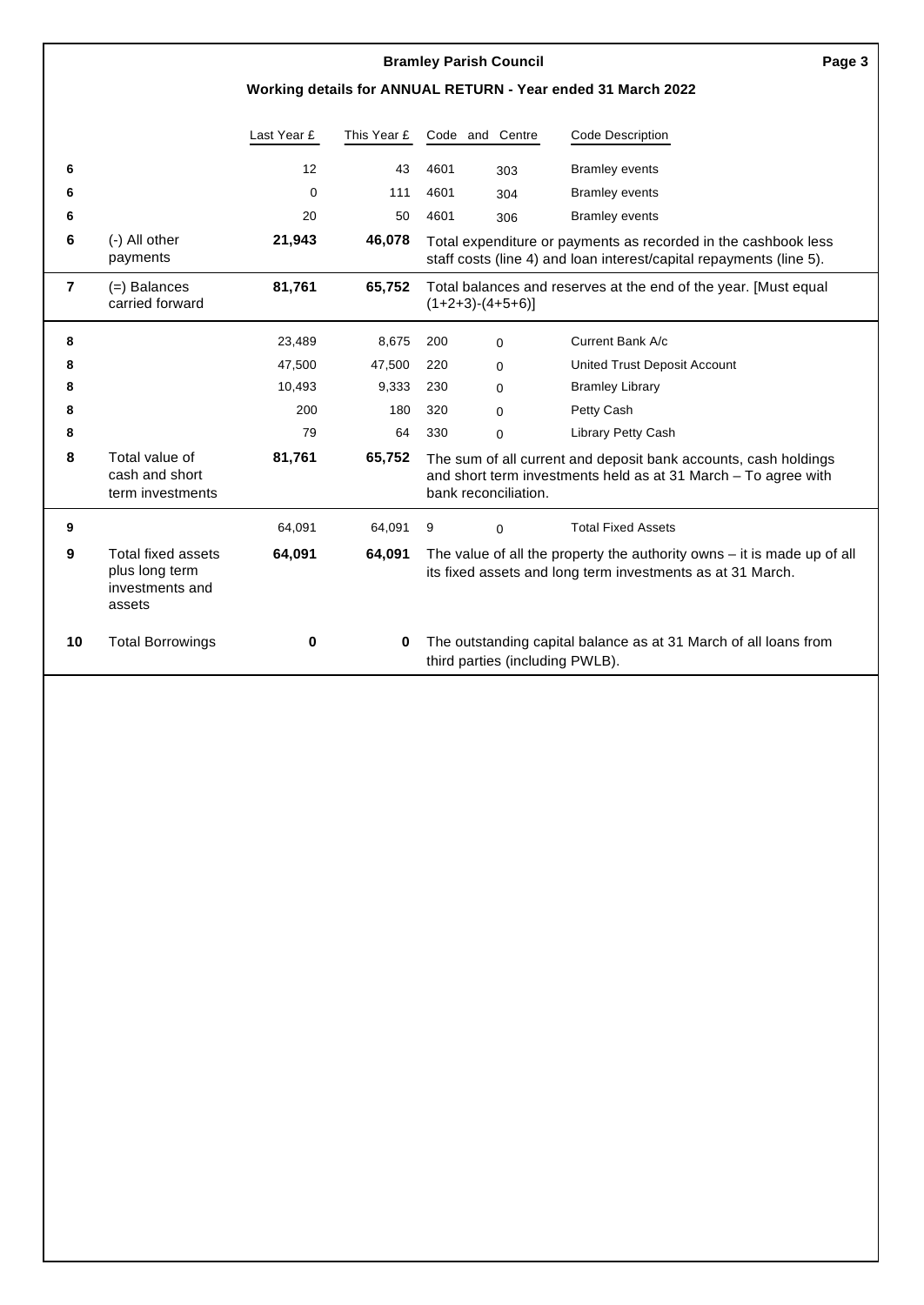#### **Bramley Parish Council**

#### **Working details for ANNUAL RETURN - Year ended 31 March 2022**

|                |                                                                          | Last Year £ | This Year £ | Code and | Centre                          | <b>Code Description</b>                                                                                                                 |
|----------------|--------------------------------------------------------------------------|-------------|-------------|----------|---------------------------------|-----------------------------------------------------------------------------------------------------------------------------------------|
| 6              |                                                                          | 12          | 43          | 4601     | 303                             | <b>Bramley events</b>                                                                                                                   |
| 6              |                                                                          | $\Omega$    | 111         | 4601     | 304                             | <b>Bramley events</b>                                                                                                                   |
| 6              |                                                                          | 20          | 50          | 4601     | 306                             | <b>Bramley events</b>                                                                                                                   |
| 6              | (-) All other<br>payments                                                | 21,943      | 46,078      |          |                                 | Total expenditure or payments as recorded in the cashbook less<br>staff costs (line 4) and loan interest/capital repayments (line 5).   |
| $\overline{7}$ | $(=)$ Balances<br>carried forward                                        | 81,761      | 65,752      |          | $(1+2+3)-(4+5+6)$ ]             | Total balances and reserves at the end of the year. [Must equal                                                                         |
| 8              |                                                                          | 23,489      | 8,675       | 200      | $\Omega$                        | Current Bank A/c                                                                                                                        |
| 8              |                                                                          | 47,500      | 47,500      | 220      | $\Omega$                        | United Trust Deposit Account                                                                                                            |
| 8              |                                                                          | 10,493      | 9,333       | 230      | $\Omega$                        | <b>Bramley Library</b>                                                                                                                  |
| 8              |                                                                          | 200         | 180         | 320      | $\Omega$                        | Petty Cash                                                                                                                              |
| 8              |                                                                          | 79          | 64          | 330      | $\Omega$                        | Library Petty Cash                                                                                                                      |
| 8              | Total value of<br>cash and short<br>term investments                     | 81,761      | 65,752      |          | bank reconciliation.            | The sum of all current and deposit bank accounts, cash holdings<br>and short term investments held as at 31 March - To agree with       |
| 9              |                                                                          | 64,091      | 64,091      | 9        | $\Omega$                        | <b>Total Fixed Assets</b>                                                                                                               |
| 9              | <b>Total fixed assets</b><br>plus long term<br>investments and<br>assets | 64,091      | 64,091      |          |                                 | The value of all the property the authority owns $-$ it is made up of all<br>its fixed assets and long term investments as at 31 March. |
| 10             | <b>Total Borrowings</b>                                                  | 0           | 0           |          | third parties (including PWLB). | The outstanding capital balance as at 31 March of all loans from                                                                        |
|                |                                                                          |             |             |          |                                 |                                                                                                                                         |